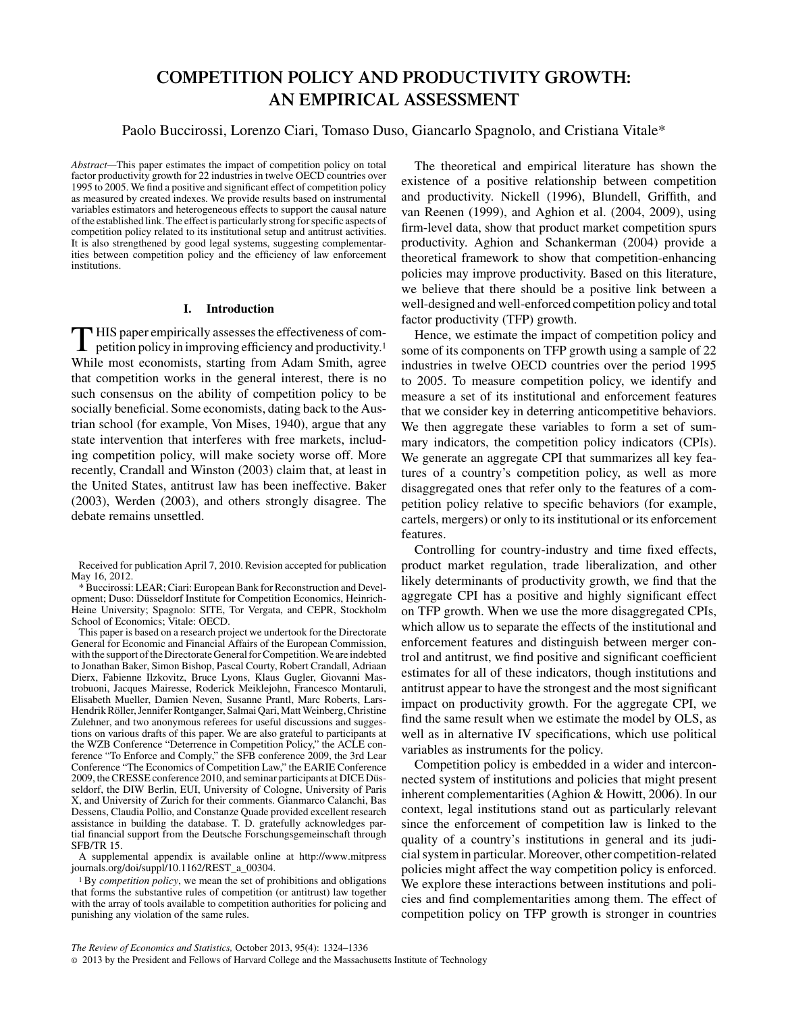# **COMPETITION POLICY AND PRODUCTIVITY GROWTH: AN EMPIRICAL ASSESSMENT**

Paolo Buccirossi, Lorenzo Ciari, Tomaso Duso, Giancarlo Spagnolo, and Cristiana Vitale\*

*Abstract—*This paper estimates the impact of competition policy on total factor productivity growth for 22 industries in twelve OECD countries over 1995 to 2005. We find a positive and significant effect of competition policy as measured by created indexes. We provide results based on instrumental variables estimators and heterogeneous effects to support the causal nature of the established link. The effect is particularly strong for specific aspects of competition policy related to its institutional setup and antitrust activities. It is also strengthened by good legal systems, suggesting complementarities between competition policy and the efficiency of law enforcement institutions.

## **I. Introduction**

 $\prod$  HIS paper empirically assesses the effectiveness of com-<br>petition policy in improved petition policy in improving efficiency and productivity.1 While most economists, starting from Adam Smith, agree that competition works in the general interest, there is no such consensus on the ability of competition policy to be socially beneficial. Some economists, dating back to the Austrian school (for example, Von Mises, 1940), argue that any state intervention that interferes with free markets, including competition policy, will make society worse off. More recently, Crandall and Winston (2003) claim that, at least in the United States, antitrust law has been ineffective. Baker (2003), Werden (2003), and others strongly disagree. The debate remains unsettled.

This paper is based on a research project we undertook for the Directorate General for Economic and Financial Affairs of the European Commission, with the support of the Directorate General for Competition. We are indebted to Jonathan Baker, Simon Bishop, Pascal Courty, Robert Crandall, Adriaan Dierx, Fabienne Ilzkovitz, Bruce Lyons, Klaus Gugler, Giovanni Mastrobuoni, Jacques Mairesse, Roderick Meiklejohn, Francesco Montaruli, Elisabeth Mueller, Damien Neven, Susanne Prantl, Marc Roberts, Lars-Hendrik Röller, Jennifer Rontganger, Salmai Qari, Matt Weinberg, Christine Zulehner, and two anonymous referees for useful discussions and suggestions on various drafts of this paper. We are also grateful to participants at the WZB Conference "Deterrence in Competition Policy," the ACLE conference "To Enforce and Comply," the SFB conference 2009, the 3rd Lear Conference "The Economics of Competition Law," the EARIE Conference 2009, the CRESSE conference 2010, and seminar participants at DICE Düsseldorf, the DIW Berlin, EUI, University of Cologne, University of Paris X, and University of Zurich for their comments. Gianmarco Calanchi, Bas Dessens, Claudia Pollio, and Constanze Quade provided excellent research assistance in building the database. T. D. gratefully acknowledges partial financial support from the Deutsche Forschungsgemeinschaft through SFB/TR 15.

A supplemental appendix is available online at http://www.mitpress journals.org/doi/suppl/10.1162/REST\_a\_00304.

<sup>1</sup>By *competition policy*, we mean the set of prohibitions and obligations that forms the substantive rules of competition (or antitrust) law together with the array of tools available to competition authorities for policing and punishing any violation of the same rules.

The theoretical and empirical literature has shown the existence of a positive relationship between competition and productivity. Nickell (1996), Blundell, Griffith, and van Reenen (1999), and Aghion et al. (2004, 2009), using firm-level data, show that product market competition spurs productivity. Aghion and Schankerman (2004) provide a theoretical framework to show that competition-enhancing policies may improve productivity. Based on this literature, we believe that there should be a positive link between a well-designed and well-enforced competition policy and total factor productivity (TFP) growth.

Hence, we estimate the impact of competition policy and some of its components on TFP growth using a sample of 22 industries in twelve OECD countries over the period 1995 to 2005. To measure competition policy, we identify and measure a set of its institutional and enforcement features that we consider key in deterring anticompetitive behaviors. We then aggregate these variables to form a set of summary indicators, the competition policy indicators (CPIs). We generate an aggregate CPI that summarizes all key features of a country's competition policy, as well as more disaggregated ones that refer only to the features of a competition policy relative to specific behaviors (for example, cartels, mergers) or only to its institutional or its enforcement features.

Controlling for country-industry and time fixed effects, product market regulation, trade liberalization, and other likely determinants of productivity growth, we find that the aggregate CPI has a positive and highly significant effect on TFP growth. When we use the more disaggregated CPIs, which allow us to separate the effects of the institutional and enforcement features and distinguish between merger control and antitrust, we find positive and significant coefficient estimates for all of these indicators, though institutions and antitrust appear to have the strongest and the most significant impact on productivity growth. For the aggregate CPI, we find the same result when we estimate the model by OLS, as well as in alternative IV specifications, which use political variables as instruments for the policy.

Competition policy is embedded in a wider and interconnected system of institutions and policies that might present inherent complementarities (Aghion & Howitt, 2006). In our context, legal institutions stand out as particularly relevant since the enforcement of competition law is linked to the quality of a country's institutions in general and its judicial system in particular. Moreover, other competition-related policies might affect the way competition policy is enforced. We explore these interactions between institutions and policies and find complementarities among them. The effect of competition policy on TFP growth is stronger in countries

Received for publication April 7, 2010. Revision accepted for publication May 16, 2012.

<sup>\*</sup> Buccirossi: LEAR; Ciari: European Bank for Reconstruction and Development; Duso: Düsseldorf Institute for Competition Economics, Heinrich-Heine University; Spagnolo: SITE, Tor Vergata, and CEPR, Stockholm School of Economics; Vitale: OECD.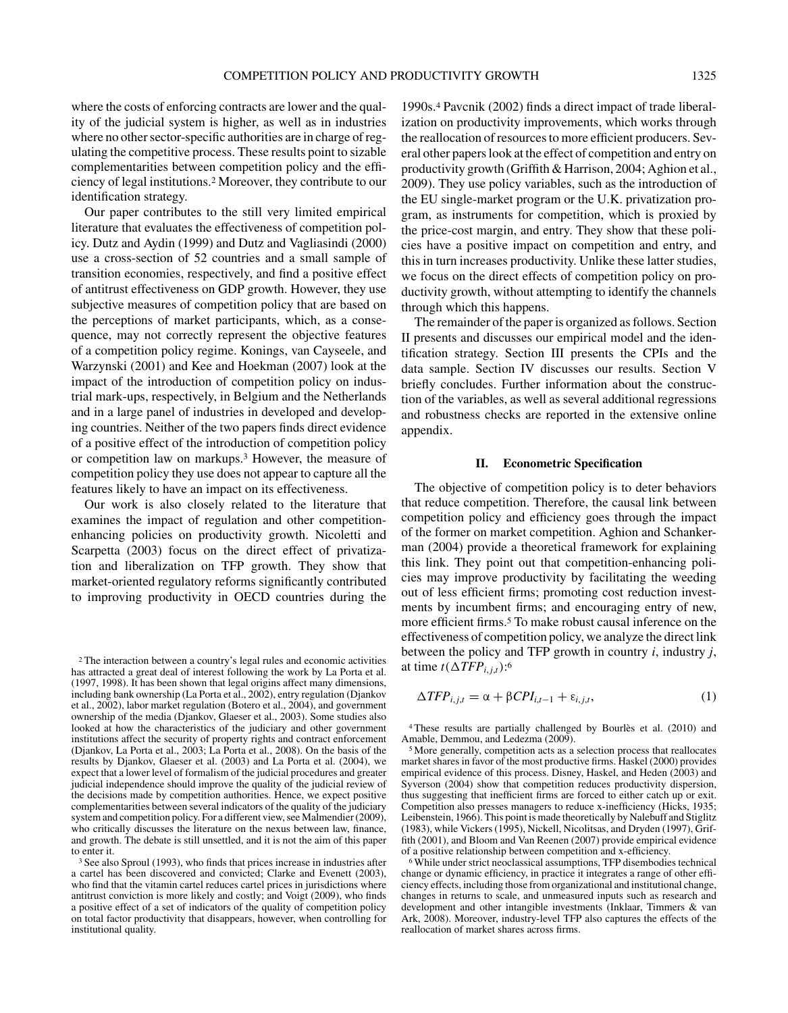where the costs of enforcing contracts are lower and the quality of the judicial system is higher, as well as in industries where no other sector-specific authorities are in charge of regulating the competitive process. These results point to sizable complementarities between competition policy and the efficiency of legal institutions.2 Moreover, they contribute to our identification strategy.

Our paper contributes to the still very limited empirical literature that evaluates the effectiveness of competition policy. Dutz and Aydin (1999) and Dutz and Vagliasindi (2000) use a cross-section of 52 countries and a small sample of transition economies, respectively, and find a positive effect of antitrust effectiveness on GDP growth. However, they use subjective measures of competition policy that are based on the perceptions of market participants, which, as a consequence, may not correctly represent the objective features of a competition policy regime. Konings, van Cayseele, and Warzynski (2001) and Kee and Hoekman (2007) look at the impact of the introduction of competition policy on industrial mark-ups, respectively, in Belgium and the Netherlands and in a large panel of industries in developed and developing countries. Neither of the two papers finds direct evidence of a positive effect of the introduction of competition policy or competition law on markups.3 However, the measure of competition policy they use does not appear to capture all the features likely to have an impact on its effectiveness.

Our work is also closely related to the literature that examines the impact of regulation and other competitionenhancing policies on productivity growth. Nicoletti and Scarpetta (2003) focus on the direct effect of privatization and liberalization on TFP growth. They show that market-oriented regulatory reforms significantly contributed to improving productivity in OECD countries during the

1990s.4 Pavcnik (2002) finds a direct impact of trade liberalization on productivity improvements, which works through the reallocation of resources to more efficient producers. Several other papers look at the effect of competition and entry on productivity growth (Griffith & Harrison, 2004; Aghion et al., 2009). They use policy variables, such as the introduction of the EU single-market program or the U.K. privatization program, as instruments for competition, which is proxied by the price-cost margin, and entry. They show that these policies have a positive impact on competition and entry, and this in turn increases productivity. Unlike these latter studies, we focus on the direct effects of competition policy on productivity growth, without attempting to identify the channels through which this happens.

The remainder of the paper is organized as follows. Section II presents and discusses our empirical model and the identification strategy. Section III presents the CPIs and the data sample. Section IV discusses our results. Section V briefly concludes. Further information about the construction of the variables, as well as several additional regressions and robustness checks are reported in the extensive online appendix.

## **II. Econometric Specification**

The objective of competition policy is to deter behaviors that reduce competition. Therefore, the causal link between competition policy and efficiency goes through the impact of the former on market competition. Aghion and Schankerman (2004) provide a theoretical framework for explaining this link. They point out that competition-enhancing policies may improve productivity by facilitating the weeding out of less efficient firms; promoting cost reduction investments by incumbent firms; and encouraging entry of new, more efficient firms.5 To make robust causal inference on the effectiveness of competition policy, we analyze the direct link between the policy and TFP growth in country *i*, industry *j*, at time  $t(\Delta TFP_{i,j,t})$ :<sup>6</sup>

$$
\Delta TFP_{i,j,t} = \alpha + \beta CPI_{i,t-1} + \varepsilon_{i,j,t},\tag{1}
$$

<sup>4</sup> These results are partially challenged by Bourlès et al. (2010) and Amable, Demmou, and Ledezma (2009).

<sup>5</sup> More generally, competition acts as a selection process that reallocates market shares in favor of the most productive firms. Haskel (2000) provides empirical evidence of this process. Disney, Haskel, and Heden (2003) and Syverson (2004) show that competition reduces productivity dispersion, thus suggesting that inefficient firms are forced to either catch up or exit. Competition also presses managers to reduce x-inefficiency (Hicks, 1935; Leibenstein, 1966). This point is made theoretically by Nalebuff and Stiglitz (1983), while Vickers (1995), Nickell, Nicolitsas, and Dryden (1997), Griffith (2001), and Bloom and Van Reenen (2007) provide empirical evidence of a positive relationship between competition and x-efficiency.

<sup>6</sup> While under strict neoclassical assumptions, TFP disembodies technical change or dynamic efficiency, in practice it integrates a range of other efficiency effects, including those from organizational and institutional change, changes in returns to scale, and unmeasured inputs such as research and development and other intangible investments (Inklaar, Timmers & van Ark, 2008). Moreover, industry-level TFP also captures the effects of the reallocation of market shares across firms.

<sup>2</sup> The interaction between a country's legal rules and economic activities has attracted a great deal of interest following the work by La Porta et al. (1997, 1998). It has been shown that legal origins affect many dimensions, including bank ownership (La Porta et al., 2002), entry regulation (Djankov et al., 2002), labor market regulation (Botero et al., 2004), and government ownership of the media (Djankov, Glaeser et al., 2003). Some studies also looked at how the characteristics of the judiciary and other government institutions affect the security of property rights and contract enforcement (Djankov, La Porta et al., 2003; La Porta et al., 2008). On the basis of the results by Djankov, Glaeser et al. (2003) and La Porta et al. (2004), we expect that a lower level of formalism of the judicial procedures and greater judicial independence should improve the quality of the judicial review of the decisions made by competition authorities. Hence, we expect positive complementarities between several indicators of the quality of the judiciary system and competition policy. For a different view, see Malmendier (2009), who critically discusses the literature on the nexus between law, finance, and growth. The debate is still unsettled, and it is not the aim of this paper to enter it.

<sup>3</sup> See also Sproul (1993), who finds that prices increase in industries after a cartel has been discovered and convicted; Clarke and Evenett (2003), who find that the vitamin cartel reduces cartel prices in jurisdictions where antitrust conviction is more likely and costly; and Voigt (2009), who finds a positive effect of a set of indicators of the quality of competition policy on total factor productivity that disappears, however, when controlling for institutional quality.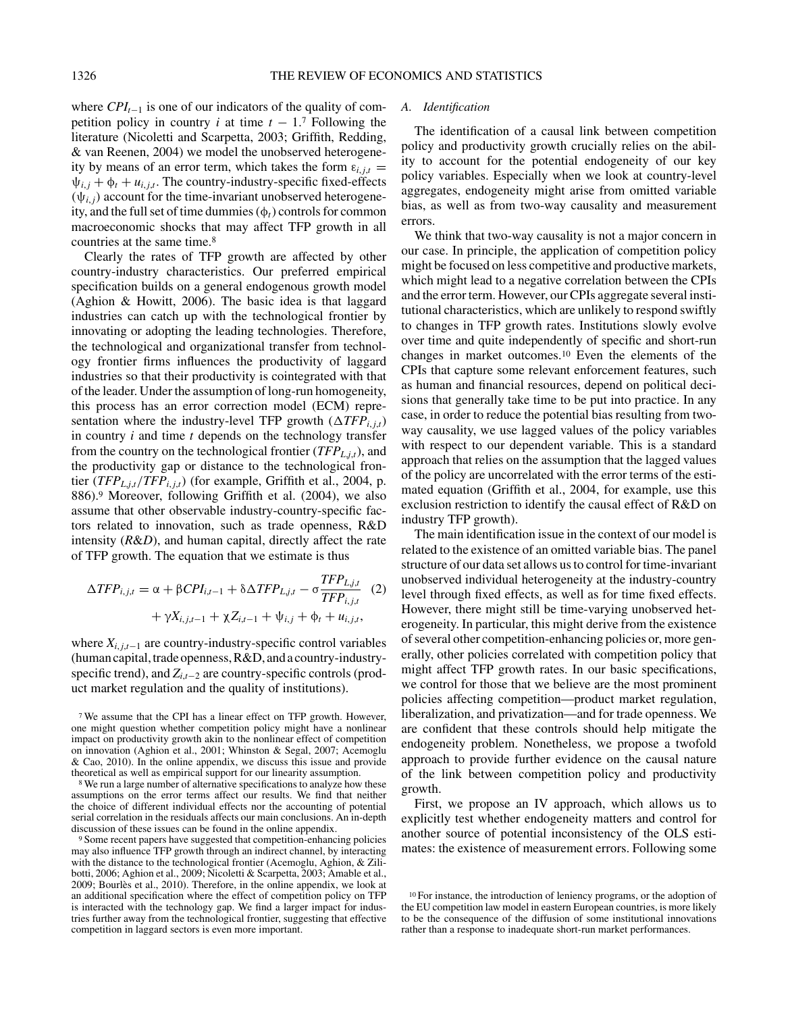where  $CPI_{t-1}$  is one of our indicators of the quality of competition policy in country *i* at time  $t - 1.7$  Following the literature (Nicoletti and Scarpetta, 2003; Griffith, Redding, & van Reenen, 2004) we model the unobserved heterogeneity by means of an error term, which takes the form  $\varepsilon_{i,j,t}$  =  $\psi_{i,j} + \phi_t + u_{i,j,t}$ . The country-industry-specific fixed-effects  $(\psi_{i,i})$  account for the time-invariant unobserved heterogeneity, and the full set of time dummies (φ*t*) controls for common macroeconomic shocks that may affect TFP growth in all countries at the same time.8

Clearly the rates of TFP growth are affected by other country-industry characteristics. Our preferred empirical specification builds on a general endogenous growth model (Aghion & Howitt, 2006). The basic idea is that laggard industries can catch up with the technological frontier by innovating or adopting the leading technologies. Therefore, the technological and organizational transfer from technology frontier firms influences the productivity of laggard industries so that their productivity is cointegrated with that of the leader. Under the assumption of long-run homogeneity, this process has an error correction model (ECM) representation where the industry-level TFP growth  $(\Delta TFP_{i,j,t})$ in country *i* and time *t* depends on the technology transfer from the country on the technological frontier  $(TFP_{L,i,t})$ , and the productivity gap or distance to the technological frontier (*TFP*<sub>L,j,t</sub>/*TFP*<sub>*i*,*j*,t</sub>) (for example, Griffith et al., 2004, p. 886).9 Moreover, following Griffith et al. (2004), we also assume that other observable industry-country-specific factors related to innovation, such as trade openness, R&D intensity (*R*&*D*), and human capital, directly affect the rate of TFP growth. The equation that we estimate is thus

$$
\Delta TFP_{i,j,t} = \alpha + \beta CPI_{i,t-1} + \delta \Delta TFP_{L,j,t} - \sigma \frac{TFP_{L,j,t}}{TFP_{i,j,t}} \quad (2)
$$

$$
+ \gamma X_{i,j,t-1} + \gamma Z_{i,t-1} + \psi_{i,j} + \phi_t + u_{i,j,t},
$$

where  $X_{i,i,t-1}$  are country-industry-specific control variables (human capital, trade openness, R&D, and a country-industryspecific trend), and *Zi*,*t*−<sup>2</sup> are country-specific controls (product market regulation and the quality of institutions).

# *A. Identification*

The identification of a causal link between competition policy and productivity growth crucially relies on the ability to account for the potential endogeneity of our key policy variables. Especially when we look at country-level aggregates, endogeneity might arise from omitted variable bias, as well as from two-way causality and measurement errors.

We think that two-way causality is not a major concern in our case. In principle, the application of competition policy might be focused on less competitive and productive markets, which might lead to a negative correlation between the CPIs and the error term. However, our CPIs aggregate several institutional characteristics, which are unlikely to respond swiftly to changes in TFP growth rates. Institutions slowly evolve over time and quite independently of specific and short-run changes in market outcomes.10 Even the elements of the CPIs that capture some relevant enforcement features, such as human and financial resources, depend on political decisions that generally take time to be put into practice. In any case, in order to reduce the potential bias resulting from twoway causality, we use lagged values of the policy variables with respect to our dependent variable. This is a standard approach that relies on the assumption that the lagged values of the policy are uncorrelated with the error terms of the estimated equation (Griffith et al., 2004, for example, use this exclusion restriction to identify the causal effect of R&D on industry TFP growth).

The main identification issue in the context of our model is related to the existence of an omitted variable bias. The panel structure of our data set allows us to control for time-invariant unobserved individual heterogeneity at the industry-country level through fixed effects, as well as for time fixed effects. However, there might still be time-varying unobserved heterogeneity. In particular, this might derive from the existence of several other competition-enhancing policies or, more generally, other policies correlated with competition policy that might affect TFP growth rates. In our basic specifications, we control for those that we believe are the most prominent policies affecting competition—product market regulation, liberalization, and privatization—and for trade openness. We are confident that these controls should help mitigate the endogeneity problem. Nonetheless, we propose a twofold approach to provide further evidence on the causal nature of the link between competition policy and productivity growth.

First, we propose an IV approach, which allows us to explicitly test whether endogeneity matters and control for another source of potential inconsistency of the OLS estimates: the existence of measurement errors. Following some

<sup>7</sup> We assume that the CPI has a linear effect on TFP growth. However, one might question whether competition policy might have a nonlinear impact on productivity growth akin to the nonlinear effect of competition on innovation (Aghion et al., 2001; Whinston & Segal, 2007; Acemoglu & Cao, 2010). In the online appendix, we discuss this issue and provide theoretical as well as empirical support for our linearity assumption.

<sup>8</sup> We run a large number of alternative specifications to analyze how these assumptions on the error terms affect our results. We find that neither the choice of different individual effects nor the accounting of potential serial correlation in the residuals affects our main conclusions. An in-depth discussion of these issues can be found in the online appendix.

<sup>9</sup> Some recent papers have suggested that competition-enhancing policies may also influence TFP growth through an indirect channel, by interacting with the distance to the technological frontier (Acemoglu, Aghion, & Zilibotti, 2006; Aghion et al., 2009; Nicoletti & Scarpetta, 2003; Amable et al., 2009; Bourlès et al., 2010). Therefore, in the online appendix, we look at an additional specification where the effect of competition policy on TFP is interacted with the technology gap. We find a larger impact for industries further away from the technological frontier, suggesting that effective competition in laggard sectors is even more important.

<sup>10</sup> For instance, the introduction of leniency programs, or the adoption of the EU competition law model in eastern European countries, is more likely to be the consequence of the diffusion of some institutional innovations rather than a response to inadequate short-run market performances.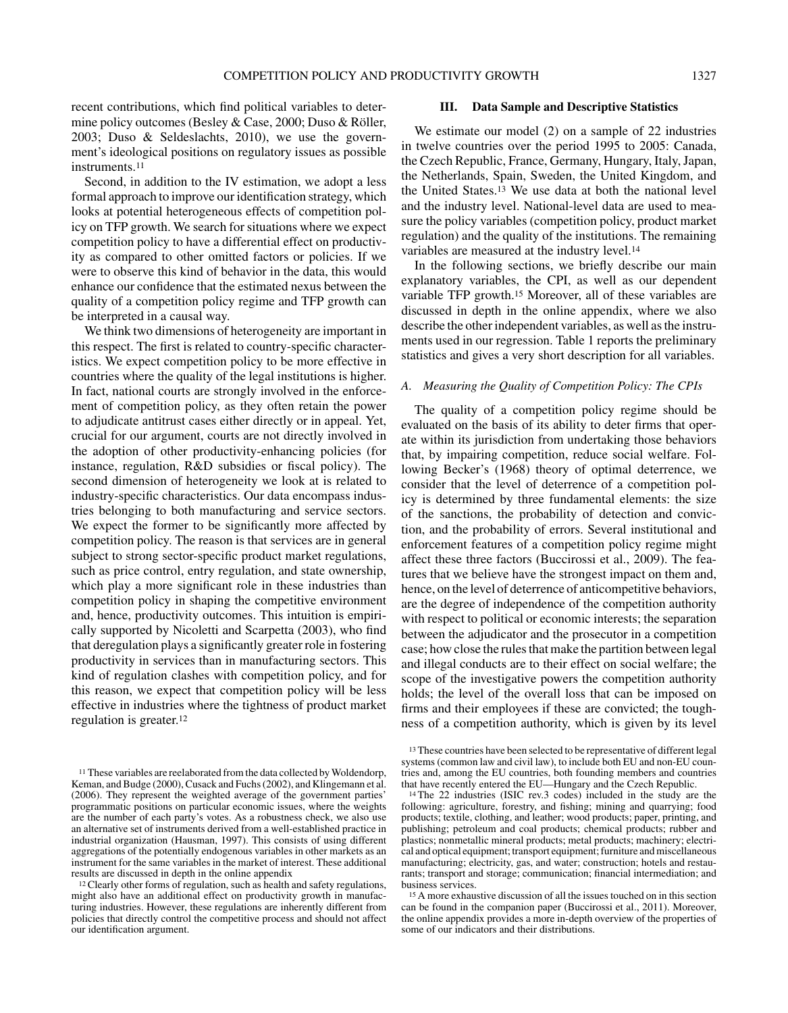recent contributions, which find political variables to determine policy outcomes (Besley & Case, 2000; Duso & Röller, 2003; Duso & Seldeslachts, 2010), we use the government's ideological positions on regulatory issues as possible instruments.11

Second, in addition to the IV estimation, we adopt a less formal approach to improve our identification strategy, which looks at potential heterogeneous effects of competition policy on TFP growth. We search for situations where we expect competition policy to have a differential effect on productivity as compared to other omitted factors or policies. If we were to observe this kind of behavior in the data, this would enhance our confidence that the estimated nexus between the quality of a competition policy regime and TFP growth can be interpreted in a causal way.

We think two dimensions of heterogeneity are important in this respect. The first is related to country-specific characteristics. We expect competition policy to be more effective in countries where the quality of the legal institutions is higher. In fact, national courts are strongly involved in the enforcement of competition policy, as they often retain the power to adjudicate antitrust cases either directly or in appeal. Yet, crucial for our argument, courts are not directly involved in the adoption of other productivity-enhancing policies (for instance, regulation, R&D subsidies or fiscal policy). The second dimension of heterogeneity we look at is related to industry-specific characteristics. Our data encompass industries belonging to both manufacturing and service sectors. We expect the former to be significantly more affected by competition policy. The reason is that services are in general subject to strong sector-specific product market regulations, such as price control, entry regulation, and state ownership, which play a more significant role in these industries than competition policy in shaping the competitive environment and, hence, productivity outcomes. This intuition is empirically supported by Nicoletti and Scarpetta (2003), who find that deregulation plays a significantly greater role in fostering productivity in services than in manufacturing sectors. This kind of regulation clashes with competition policy, and for this reason, we expect that competition policy will be less effective in industries where the tightness of product market regulation is greater.12

## **III. Data Sample and Descriptive Statistics**

We estimate our model (2) on a sample of 22 industries in twelve countries over the period 1995 to 2005: Canada, the Czech Republic, France, Germany, Hungary, Italy, Japan, the Netherlands, Spain, Sweden, the United Kingdom, and the United States.13 We use data at both the national level and the industry level. National-level data are used to measure the policy variables (competition policy, product market regulation) and the quality of the institutions. The remaining variables are measured at the industry level.14

In the following sections, we briefly describe our main explanatory variables, the CPI, as well as our dependent variable TFP growth.15 Moreover, all of these variables are discussed in depth in the online appendix, where we also describe the other independent variables, as well as the instruments used in our regression. Table 1 reports the preliminary statistics and gives a very short description for all variables.

## *A. Measuring the Quality of Competition Policy: The CPIs*

The quality of a competition policy regime should be evaluated on the basis of its ability to deter firms that operate within its jurisdiction from undertaking those behaviors that, by impairing competition, reduce social welfare. Following Becker's (1968) theory of optimal deterrence, we consider that the level of deterrence of a competition policy is determined by three fundamental elements: the size of the sanctions, the probability of detection and conviction, and the probability of errors. Several institutional and enforcement features of a competition policy regime might affect these three factors (Buccirossi et al., 2009). The features that we believe have the strongest impact on them and, hence, on the level of deterrence of anticompetitive behaviors, are the degree of independence of the competition authority with respect to political or economic interests; the separation between the adjudicator and the prosecutor in a competition case; how close the rules that make the partition between legal and illegal conducts are to their effect on social welfare; the scope of the investigative powers the competition authority holds; the level of the overall loss that can be imposed on firms and their employees if these are convicted; the toughness of a competition authority, which is given by its level

<sup>&</sup>lt;sup>11</sup> These variables are reelaborated from the data collected by Woldendorp, Keman, and Budge (2000), Cusack and Fuchs (2002), and Klingemann et al. (2006). They represent the weighted average of the government parties' programmatic positions on particular economic issues, where the weights are the number of each party's votes. As a robustness check, we also use an alternative set of instruments derived from a well-established practice in industrial organization (Hausman, 1997). This consists of using different aggregations of the potentially endogenous variables in other markets as an instrument for the same variables in the market of interest. These additional results are discussed in depth in the online appendix

<sup>12</sup>Clearly other forms of regulation, such as health and safety regulations, might also have an additional effect on productivity growth in manufacturing industries. However, these regulations are inherently different from policies that directly control the competitive process and should not affect our identification argument.

<sup>13</sup> These countries have been selected to be representative of different legal systems (common law and civil law), to include both EU and non-EU countries and, among the EU countries, both founding members and countries that have recently entered the EU—Hungary and the Czech Republic.

<sup>14</sup> The 22 industries (ISIC rev.3 codes) included in the study are the following: agriculture, forestry, and fishing; mining and quarrying; food products; textile, clothing, and leather; wood products; paper, printing, and publishing; petroleum and coal products; chemical products; rubber and plastics; nonmetallic mineral products; metal products; machinery; electrical and optical equipment; transport equipment; furniture and miscellaneous manufacturing; electricity, gas, and water; construction; hotels and restaurants; transport and storage; communication; financial intermediation; and business services.

<sup>15</sup> A more exhaustive discussion of all the issues touched on in this section can be found in the companion paper (Buccirossi et al., 2011). Moreover, the online appendix provides a more in-depth overview of the properties of some of our indicators and their distributions.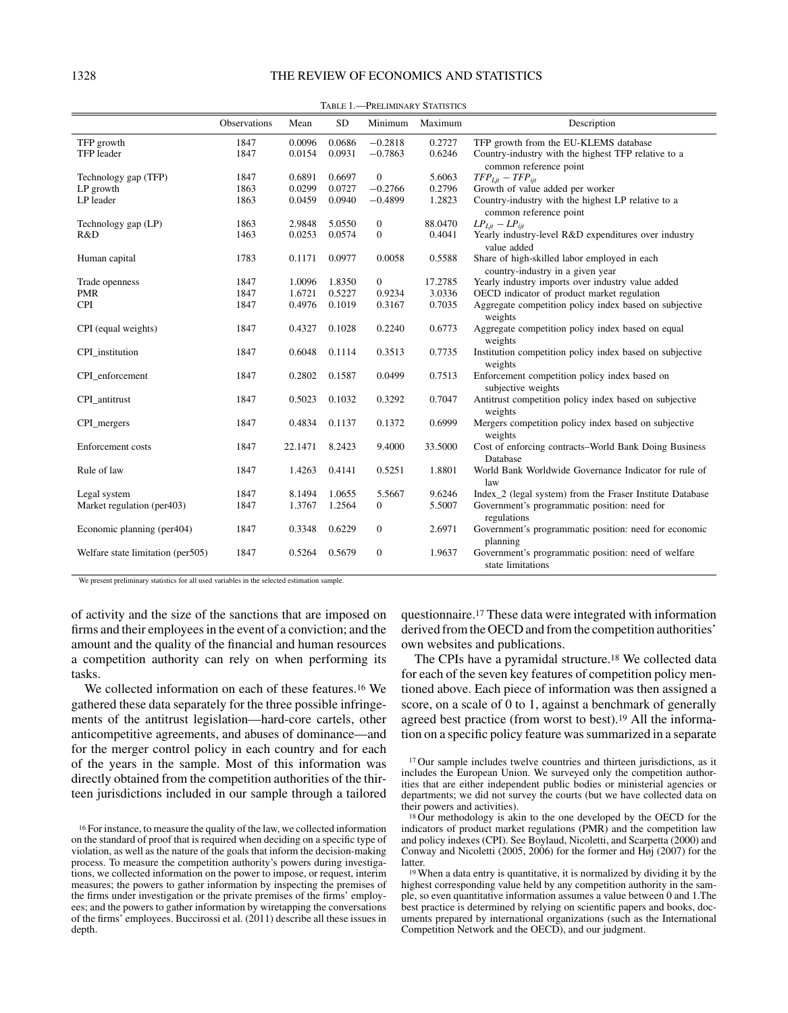# 1328 THE REVIEW OF ECONOMICS AND STATISTICS

| .<br>TREEBBOART 91/31191199       |              |         |           |                |         |                                                           |
|-----------------------------------|--------------|---------|-----------|----------------|---------|-----------------------------------------------------------|
|                                   | Observations | Mean    | <b>SD</b> | Minimum        | Maximum | Description                                               |
| TFP growth                        | 1847         | 0.0096  | 0.0686    | $-0.2818$      | 0.2727  | TFP growth from the EU-KLEMS database                     |
| TFP leader                        | 1847         | 0.0154  | 0.0931    | $-0.7863$      | 0.6246  | Country-industry with the highest TFP relative to a       |
|                                   |              |         |           |                |         | common reference point                                    |
| Technology gap (TFP)              | 1847         | 0.6891  | 0.6697    | $\mathbf{0}$   | 5.6063  | $TFP_{Lit} - TFP_{iit}$                                   |
| LP growth                         | 1863         | 0.0299  | 0.0727    | $-0.2766$      | 0.2796  | Growth of value added per worker                          |
| LP leader                         | 1863         | 0.0459  | 0.0940    | $-0.4899$      | 1.2823  | Country-industry with the highest LP relative to a        |
|                                   |              |         |           |                |         | common reference point                                    |
| Technology gap (LP)               | 1863         | 2.9848  | 5.0550    | $\overline{0}$ | 88.0470 | $LP_{Lit} - LP_{iit}$                                     |
| R&D                               | 1463         | 0.0253  | 0.0574    | $\mathbf{0}$   | 0.4041  | Yearly industry-level R&D expenditures over industry      |
|                                   |              |         |           |                |         | value added                                               |
| Human capital                     | 1783         | 0.1171  | 0.0977    | 0.0058         | 0.5588  | Share of high-skilled labor employed in each              |
|                                   |              |         |           |                |         | country-industry in a given year                          |
| Trade openness                    | 1847         | 1.0096  | 1.8350    | $\mathbf{0}$   | 17.2785 | Yearly industry imports over industry value added         |
| <b>PMR</b>                        | 1847         | 1.6721  | 0.5227    | 0.9234         | 3.0336  | OECD indicator of product market regulation               |
| <b>CPI</b>                        | 1847         | 0.4976  | 0.1019    | 0.3167         | 0.7035  | Aggregate competition policy index based on subjective    |
|                                   |              |         |           |                |         | weights                                                   |
| CPI (equal weights)               | 1847         | 0.4327  | 0.1028    | 0.2240         | 0.6773  | Aggregate competition policy index based on equal         |
|                                   |              |         |           |                |         | weights                                                   |
| CPI_institution                   | 1847         | 0.6048  | 0.1114    | 0.3513         | 0.7735  | Institution competition policy index based on subjective  |
|                                   |              |         |           |                |         | weights                                                   |
| CPI enforcement                   | 1847         | 0.2802  | 0.1587    | 0.0499         | 0.7513  | Enforcement competition policy index based on             |
|                                   |              |         |           |                |         | subjective weights                                        |
| CPI_antitrust                     | 1847         | 0.5023  | 0.1032    | 0.3292         | 0.7047  | Antitrust competition policy index based on subjective    |
|                                   |              |         |           |                |         | weights                                                   |
| CPI_mergers                       | 1847         | 0.4834  | 0.1137    | 0.1372         | 0.6999  | Mergers competition policy index based on subjective      |
|                                   |              |         |           |                |         | weights                                                   |
| Enforcement costs                 | 1847         | 22.1471 | 8.2423    | 9.4000         | 33.5000 | Cost of enforcing contracts–World Bank Doing Business     |
|                                   |              |         |           |                |         | Database                                                  |
| Rule of law                       | 1847         | 1.4263  | 0.4141    | 0.5251         | 1.8801  | World Bank Worldwide Governance Indicator for rule of     |
|                                   |              |         |           |                |         | law                                                       |
| Legal system                      | 1847         | 8.1494  | 1.0655    | 5.5667         | 9.6246  | Index_2 (legal system) from the Fraser Institute Database |
| Market regulation (per403)        | 1847         | 1.3767  | 1.2564    | $\mathbf{0}$   | 5.5007  | Government's programmatic position: need for              |
|                                   |              |         |           |                |         | regulations                                               |
| Economic planning (per404)        | 1847         | 0.3348  | 0.6229    | $\mathbf{0}$   | 2.6971  | Government's programmatic position: need for economic     |
|                                   |              |         |           |                |         | planning                                                  |
| Welfare state limitation (per505) | 1847         | 0.5264  | 0.5679    | $\mathbf{0}$   | 1.9637  | Government's programmatic position: need of welfare       |
|                                   |              |         |           |                |         | state limitations                                         |

Table 1.—Preliminary Statistics

We present preliminary statistics for all used variables in the selected estimation sample.

of activity and the size of the sanctions that are imposed on firms and their employees in the event of a conviction; and the amount and the quality of the financial and human resources a competition authority can rely on when performing its tasks.

We collected information on each of these features.16 We gathered these data separately for the three possible infringements of the antitrust legislation—hard-core cartels, other anticompetitive agreements, and abuses of dominance—and for the merger control policy in each country and for each of the years in the sample. Most of this information was directly obtained from the competition authorities of the thirteen jurisdictions included in our sample through a tailored questionnaire.17 These data were integrated with information derived from the OECD and from the competition authorities' own websites and publications.

The CPIs have a pyramidal structure.<sup>18</sup> We collected data for each of the seven key features of competition policy mentioned above. Each piece of information was then assigned a score, on a scale of 0 to 1, against a benchmark of generally agreed best practice (from worst to best).19 All the information on a specific policy feature was summarized in a separate

<sup>16</sup> For instance, to measure the quality of the law, we collected information on the standard of proof that is required when deciding on a specific type of violation, as well as the nature of the goals that inform the decision-making process. To measure the competition authority's powers during investigations, we collected information on the power to impose, or request, interim measures; the powers to gather information by inspecting the premises of the firms under investigation or the private premises of the firms' employees; and the powers to gather information by wiretapping the conversations of the firms' employees. Buccirossi et al. (2011) describe all these issues in depth.

<sup>&</sup>lt;sup>17</sup> Our sample includes twelve countries and thirteen jurisdictions, as it includes the European Union. We surveyed only the competition authorities that are either independent public bodies or ministerial agencies or departments; we did not survey the courts (but we have collected data on their powers and activities).

<sup>&</sup>lt;sup>18</sup> Our methodology is akin to the one developed by the OECD for the indicators of product market regulations (PMR) and the competition law and policy indexes (CPI). See Boylaud, Nicoletti, and Scarpetta (2000) and Conway and Nicoletti (2005, 2006) for the former and  $H_{01}$  (2007) for the latter.

<sup>19</sup> When a data entry is quantitative, it is normalized by dividing it by the highest corresponding value held by any competition authority in the sample, so even quantitative information assumes a value between 0 and 1.The best practice is determined by relying on scientific papers and books, documents prepared by international organizations (such as the International Competition Network and the OECD), and our judgment.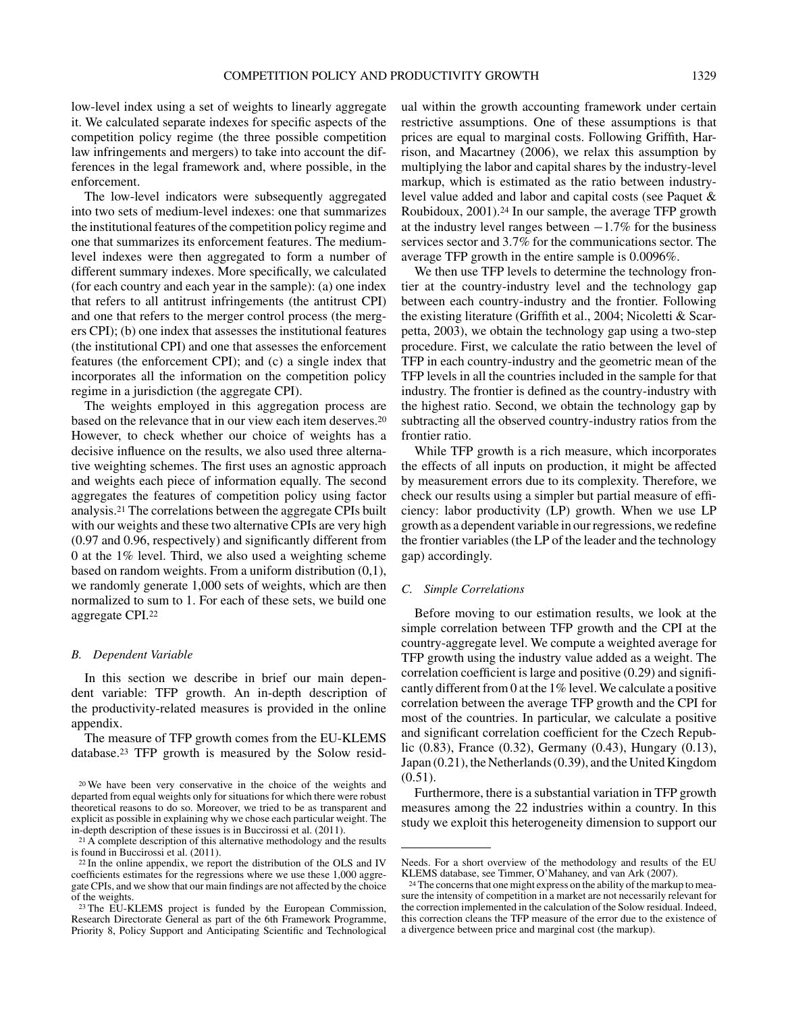low-level index using a set of weights to linearly aggregate it. We calculated separate indexes for specific aspects of the competition policy regime (the three possible competition law infringements and mergers) to take into account the differences in the legal framework and, where possible, in the enforcement.

The low-level indicators were subsequently aggregated into two sets of medium-level indexes: one that summarizes the institutional features of the competition policy regime and one that summarizes its enforcement features. The mediumlevel indexes were then aggregated to form a number of different summary indexes. More specifically, we calculated (for each country and each year in the sample): (a) one index that refers to all antitrust infringements (the antitrust CPI) and one that refers to the merger control process (the mergers CPI); (b) one index that assesses the institutional features (the institutional CPI) and one that assesses the enforcement features (the enforcement CPI); and (c) a single index that incorporates all the information on the competition policy regime in a jurisdiction (the aggregate CPI).

The weights employed in this aggregation process are based on the relevance that in our view each item deserves.20 However, to check whether our choice of weights has a decisive influence on the results, we also used three alternative weighting schemes. The first uses an agnostic approach and weights each piece of information equally. The second aggregates the features of competition policy using factor analysis.21 The correlations between the aggregate CPIs built with our weights and these two alternative CPIs are very high (0.97 and 0.96, respectively) and significantly different from 0 at the 1% level. Third, we also used a weighting scheme based on random weights. From a uniform distribution (0,1), we randomly generate 1,000 sets of weights, which are then normalized to sum to 1. For each of these sets, we build one aggregate CPI.22

#### *B. Dependent Variable*

In this section we describe in brief our main dependent variable: TFP growth. An in-depth description of the productivity-related measures is provided in the online appendix.

The measure of TFP growth comes from the EU-KLEMS database.23 TFP growth is measured by the Solow resid-

ual within the growth accounting framework under certain restrictive assumptions. One of these assumptions is that prices are equal to marginal costs. Following Griffith, Harrison, and Macartney (2006), we relax this assumption by multiplying the labor and capital shares by the industry-level markup, which is estimated as the ratio between industrylevel value added and labor and capital costs (see Paquet & Roubidoux, 2001).24 In our sample, the average TFP growth at the industry level ranges between  $-1.7\%$  for the business services sector and 3.7% for the communications sector. The average TFP growth in the entire sample is 0.0096%.

We then use TFP levels to determine the technology frontier at the country-industry level and the technology gap between each country-industry and the frontier. Following the existing literature (Griffith et al., 2004; Nicoletti & Scarpetta, 2003), we obtain the technology gap using a two-step procedure. First, we calculate the ratio between the level of TFP in each country-industry and the geometric mean of the TFP levels in all the countries included in the sample for that industry. The frontier is defined as the country-industry with the highest ratio. Second, we obtain the technology gap by subtracting all the observed country-industry ratios from the frontier ratio.

While TFP growth is a rich measure, which incorporates the effects of all inputs on production, it might be affected by measurement errors due to its complexity. Therefore, we check our results using a simpler but partial measure of efficiency: labor productivity (LP) growth. When we use LP growth as a dependent variable in our regressions, we redefine the frontier variables (the LP of the leader and the technology gap) accordingly.

## *C. Simple Correlations*

Before moving to our estimation results, we look at the simple correlation between TFP growth and the CPI at the country-aggregate level. We compute a weighted average for TFP growth using the industry value added as a weight. The correlation coefficient is large and positive (0.29) and significantly different from 0 at the 1% level. We calculate a positive correlation between the average TFP growth and the CPI for most of the countries. In particular, we calculate a positive and significant correlation coefficient for the Czech Republic (0.83), France (0.32), Germany (0.43), Hungary (0.13), Japan (0.21), the Netherlands (0.39), and the United Kingdom (0.51).

Furthermore, there is a substantial variation in TFP growth measures among the 22 industries within a country. In this study we exploit this heterogeneity dimension to support our

<sup>20</sup> We have been very conservative in the choice of the weights and departed from equal weights only for situations for which there were robust theoretical reasons to do so. Moreover, we tried to be as transparent and explicit as possible in explaining why we chose each particular weight. The in-depth description of these issues is in Buccirossi et al. (2011).

<sup>&</sup>lt;sup>21</sup> A complete description of this alternative methodology and the results is found in Buccirossi et al. (2011).

<sup>22</sup> In the online appendix, we report the distribution of the OLS and IV coefficients estimates for the regressions where we use these 1,000 aggregate CPIs, and we show that our main findings are not affected by the choice of the weights.

<sup>23</sup> The EU-KLEMS project is funded by the European Commission, Research Directorate General as part of the 6th Framework Programme, Priority 8, Policy Support and Anticipating Scientific and Technological

Needs. For a short overview of the methodology and results of the EU KLEMS database, see Timmer, O'Mahaney, and van Ark (2007).

<sup>&</sup>lt;sup>24</sup> The concerns that one might express on the ability of the markup to measure the intensity of competition in a market are not necessarily relevant for the correction implemented in the calculation of the Solow residual. Indeed, this correction cleans the TFP measure of the error due to the existence of a divergence between price and marginal cost (the markup).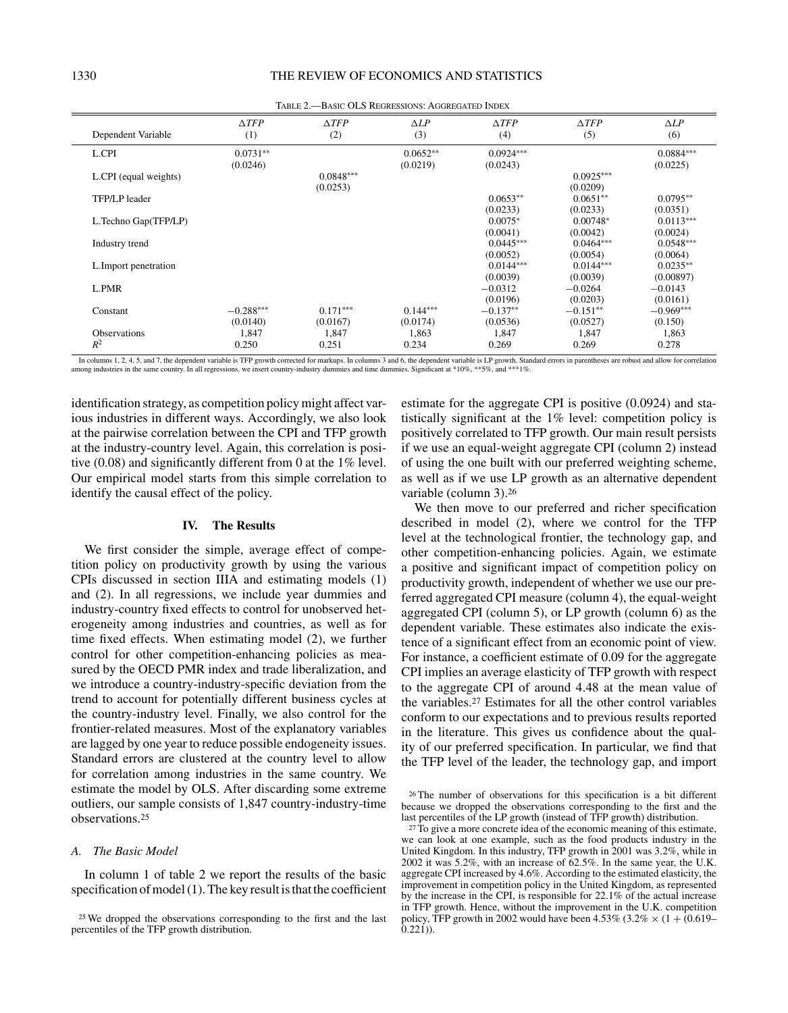| Dependent Variable    | $\triangle TFP$<br>(1) | $\triangle TFP$<br>(2) | $\Delta LP$<br>(3) | $\triangle TFP$<br>(4) | $\triangle TFP$<br>(5) | $\Delta LP$<br>(6) |
|-----------------------|------------------------|------------------------|--------------------|------------------------|------------------------|--------------------|
| L.CPI                 | $0.0731**$             |                        | $0.0652**$         | $0.0924***$            |                        | $0.0884***$        |
|                       | (0.0246)               |                        | (0.0219)           | (0.0243)               |                        | (0.0225)           |
| L.CPI (equal weights) |                        | $0.0848***$            |                    |                        | $0.0925***$            |                    |
|                       |                        | (0.0253)               |                    |                        | (0.0209)               |                    |
| TFP/LP leader         |                        |                        |                    | $0.0653**$             | $0.0651**$             | $0.0795**$         |
|                       |                        |                        |                    | (0.0233)               | (0.0233)               | (0.0351)           |
| L.Techno Gap(TFP/LP)  |                        |                        |                    | $0.0075*$              | $0.00748*$             | $0.0113***$        |
|                       |                        |                        |                    | (0.0041)               | (0.0042)               | (0.0024)           |
| Industry trend        |                        |                        |                    | $0.0445***$            | $0.0464***$            | $0.0548***$        |
|                       |                        |                        |                    | (0.0052)               | (0.0054)               | (0.0064)           |
| L. Import penetration |                        |                        |                    | $0.0144***$            | $0.0144***$            | $0.0235**$         |
|                       |                        |                        |                    | (0.0039)               | (0.0039)               | (0.00897)          |
| L.PMR                 |                        |                        |                    | $-0.0312$              | $-0.0264$              | $-0.0143$          |
|                       |                        |                        |                    | (0.0196)               | (0.0203)               | (0.0161)           |
| Constant              | $-0.288***$            | $0.171***$             | $0.144***$         | $-0.137**$             | $-0.151**$             | $-0.969***$        |
|                       | (0.0140)               | (0.0167)               | (0.0174)           | (0.0536)               | (0.0527)               | (0.150)            |
| <b>Observations</b>   | 1,847                  | 1,847                  | 1,863              | 1,847                  | 1,847                  | 1,863              |
| $R^2$                 | 0.250                  | 0.251                  | 0.234              | 0.269                  | 0.269                  | 0.278              |

Table 2.—Basic OLS Regressions: Aggregated Index

In columns 1, 2, 4, 5, and 7, the dependent variable is TFP growth corrected for markups. In columns 3 and 6, the dependent variable is LP growth. Standard errors in parentheses are robust and allow for correlation among industries in the same country. In all regressions, we insert country-industry dummies and time dummies. Significant at \*10%, \*\*5%, and \*\*\*1%

identification strategy, as competition policy might affect various industries in different ways. Accordingly, we also look at the pairwise correlation between the CPI and TFP growth at the industry-country level. Again, this correlation is positive (0.08) and significantly different from 0 at the 1% level. Our empirical model starts from this simple correlation to identify the causal effect of the policy.

# **IV. The Results**

We first consider the simple, average effect of competition policy on productivity growth by using the various CPIs discussed in section IIIA and estimating models (1) and (2). In all regressions, we include year dummies and industry-country fixed effects to control for unobserved heterogeneity among industries and countries, as well as for time fixed effects. When estimating model (2), we further control for other competition-enhancing policies as measured by the OECD PMR index and trade liberalization, and we introduce a country-industry-specific deviation from the trend to account for potentially different business cycles at the country-industry level. Finally, we also control for the frontier-related measures. Most of the explanatory variables are lagged by one year to reduce possible endogeneity issues. Standard errors are clustered at the country level to allow for correlation among industries in the same country. We estimate the model by OLS. After discarding some extreme outliers, our sample consists of 1,847 country-industry-time observations.25

#### *A. The Basic Model*

In column 1 of table 2 we report the results of the basic specification of model (1). The key result is that the coefficient estimate for the aggregate CPI is positive (0.0924) and statistically significant at the 1% level: competition policy is positively correlated to TFP growth. Our main result persists if we use an equal-weight aggregate CPI (column 2) instead of using the one built with our preferred weighting scheme, as well as if we use LP growth as an alternative dependent variable (column 3).26

We then move to our preferred and richer specification described in model (2), where we control for the TFP level at the technological frontier, the technology gap, and other competition-enhancing policies. Again, we estimate a positive and significant impact of competition policy on productivity growth, independent of whether we use our preferred aggregated CPI measure (column 4), the equal-weight aggregated CPI (column 5), or LP growth (column 6) as the dependent variable. These estimates also indicate the existence of a significant effect from an economic point of view. For instance, a coefficient estimate of 0.09 for the aggregate CPI implies an average elasticity of TFP growth with respect to the aggregate CPI of around 4.48 at the mean value of the variables.27 Estimates for all the other control variables conform to our expectations and to previous results reported in the literature. This gives us confidence about the quality of our preferred specification. In particular, we find that the TFP level of the leader, the technology gap, and import

<sup>25</sup> We dropped the observations corresponding to the first and the last percentiles of the TFP growth distribution.

<sup>26</sup> The number of observations for this specification is a bit different because we dropped the observations corresponding to the first and the last percentiles of the LP growth (instead of TFP growth) distribution.

<sup>&</sup>lt;sup>27</sup> To give a more concrete idea of the economic meaning of this estimate, we can look at one example, such as the food products industry in the United Kingdom. In this industry, TFP growth in 2001 was 3.2%, while in 2002 it was 5.2%, with an increase of 62.5%. In the same year, the U.K. aggregate CPI increased by 4.6%. According to the estimated elasticity, the improvement in competition policy in the United Kingdom, as represented by the increase in the CPI, is responsible for 22.1% of the actual increase in TFP growth. Hence, without the improvement in the U.K. competition policy, TFP growth in 2002 would have been 4.53% (3.2%  $\times$  (1 + (0.619–  $(0.221)$ ).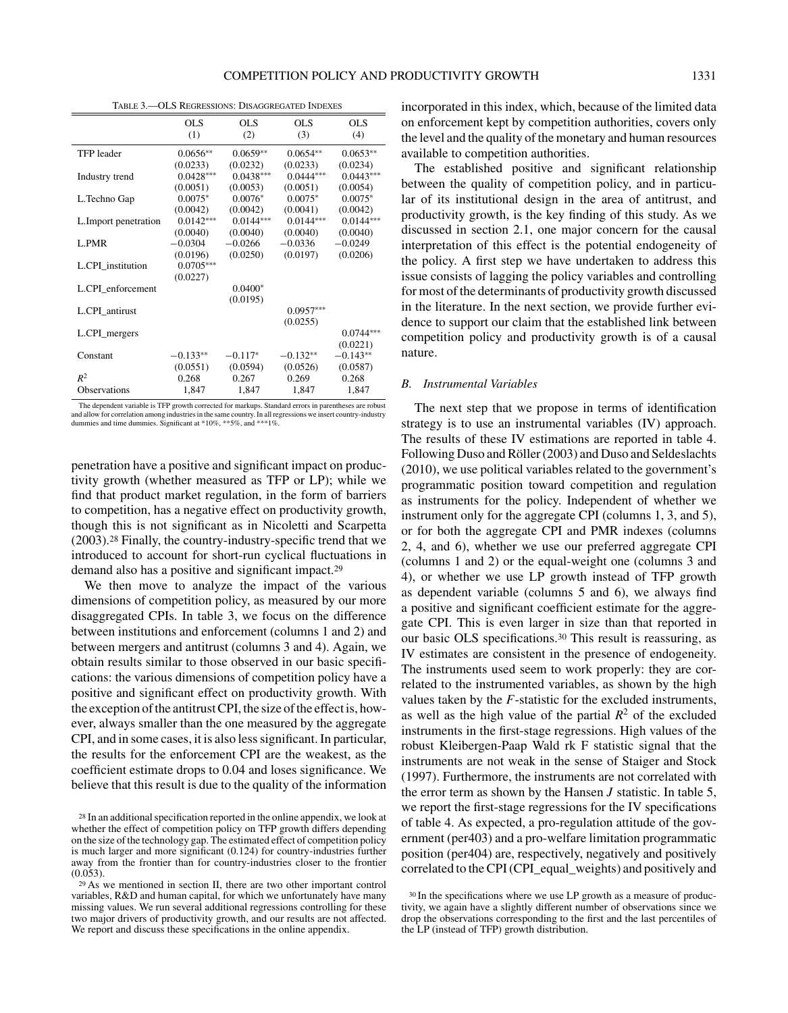Table 3.—OLS Regressions: Disaggregated Indexes

|                       | OLS.<br>(1) | OLS.<br>(2) | OL S<br>(3) | <b>OLS</b><br>(4) |
|-----------------------|-------------|-------------|-------------|-------------------|
| <b>TFP</b> leader     | $0.0656**$  | $0.0659**$  | $0.0654**$  | $0.0653**$        |
|                       | (0.0233)    | (0.0232)    | (0.0233)    | (0.0234)          |
| Industry trend        | $0.0428***$ | $0.0438***$ | $0.0444***$ | $0.0443***$       |
|                       | (0.0051)    | (0.0053)    | (0.0051)    | (0.0054)          |
| L.Techno Gap          | $0.0075*$   | $0.0076*$   | $0.0075*$   | $0.0075*$         |
|                       | (0.0042)    | (0.0042)    | (0.0041)    | (0.0042)          |
| L. Import penetration | $0.0142***$ | $0.0144***$ | $0.0144***$ | $0.0144***$       |
|                       | (0.0040)    | (0.0040)    | (0.0040)    | (0.0040)          |
| L.PMR                 | $-0.0304$   | $-0.0266$   | $-0.0336$   | $-0.0249$         |
|                       | (0.0196)    | (0.0250)    | (0.0197)    | (0.0206)          |
| L.CPI_institution     | $0.0705***$ |             |             |                   |
|                       | (0.0227)    |             |             |                   |
| L.CPI enforcement     |             | $0.0400*$   |             |                   |
|                       |             | (0.0195)    |             |                   |
| L.CPI antirust        |             |             | $0.0957***$ |                   |
|                       |             |             | (0.0255)    |                   |
| L.CPI_mergers         |             |             |             | $0.0744***$       |
|                       |             |             |             | (0.0221)          |
| Constant              | $-0.133**$  | $-0.117*$   | $-0.132**$  | $-0.143**$        |
|                       | (0.0551)    | (0.0594)    | (0.0526)    | (0.0587)          |
| $R^2$                 | 0.268       | 0.267       | 0.269       | 0.268             |
| <b>Observations</b>   | 1,847       | 1,847       | 1,847       | 1,847             |

The dependent variable is TFP growth corrected for markups. Standard errors in parentheses are robust and allow for correlation among industries in the same country. In all regressions we insert country-industry dummies and time dummies. Significant at \*10%, \*\*5%, and \*\*\*1%.

penetration have a positive and significant impact on productivity growth (whether measured as TFP or LP); while we find that product market regulation, in the form of barriers to competition, has a negative effect on productivity growth, though this is not significant as in Nicoletti and Scarpetta (2003).28 Finally, the country-industry-specific trend that we introduced to account for short-run cyclical fluctuations in demand also has a positive and significant impact.29

We then move to analyze the impact of the various dimensions of competition policy, as measured by our more disaggregated CPIs. In table 3, we focus on the difference between institutions and enforcement (columns 1 and 2) and between mergers and antitrust (columns 3 and 4). Again, we obtain results similar to those observed in our basic specifications: the various dimensions of competition policy have a positive and significant effect on productivity growth. With the exception of the antitrust CPI, the size of the effect is, however, always smaller than the one measured by the aggregate CPI, and in some cases, it is also less significant. In particular, the results for the enforcement CPI are the weakest, as the coefficient estimate drops to 0.04 and loses significance. We believe that this result is due to the quality of the information

incorporated in this index, which, because of the limited data on enforcement kept by competition authorities, covers only the level and the quality of the monetary and human resources available to competition authorities.

The established positive and significant relationship between the quality of competition policy, and in particular of its institutional design in the area of antitrust, and productivity growth, is the key finding of this study. As we discussed in section 2.1, one major concern for the causal interpretation of this effect is the potential endogeneity of the policy. A first step we have undertaken to address this issue consists of lagging the policy variables and controlling for most of the determinants of productivity growth discussed in the literature. In the next section, we provide further evidence to support our claim that the established link between competition policy and productivity growth is of a causal nature.

#### *B. Instrumental Variables*

The next step that we propose in terms of identification strategy is to use an instrumental variables (IV) approach. The results of these IV estimations are reported in table 4. Following Duso and Röller (2003) and Duso and Seldeslachts (2010), we use political variables related to the government's programmatic position toward competition and regulation as instruments for the policy. Independent of whether we instrument only for the aggregate CPI (columns 1, 3, and 5), or for both the aggregate CPI and PMR indexes (columns 2, 4, and 6), whether we use our preferred aggregate CPI (columns 1 and 2) or the equal-weight one (columns 3 and 4), or whether we use LP growth instead of TFP growth as dependent variable (columns 5 and 6), we always find a positive and significant coefficient estimate for the aggregate CPI. This is even larger in size than that reported in our basic OLS specifications.30 This result is reassuring, as IV estimates are consistent in the presence of endogeneity. The instruments used seem to work properly: they are correlated to the instrumented variables, as shown by the high values taken by the *F*-statistic for the excluded instruments, as well as the high value of the partial  $R^2$  of the excluded instruments in the first-stage regressions. High values of the robust Kleibergen-Paap Wald rk F statistic signal that the instruments are not weak in the sense of Staiger and Stock (1997). Furthermore, the instruments are not correlated with the error term as shown by the Hansen *J* statistic. In table 5, we report the first-stage regressions for the IV specifications of table 4. As expected, a pro-regulation attitude of the government (per403) and a pro-welfare limitation programmatic position (per404) are, respectively, negatively and positively correlated to the CPI (CPI\_equal\_weights) and positively and

<sup>28</sup> In an additional specification reported in the online appendix, we look at whether the effect of competition policy on TFP growth differs depending on the size of the technology gap. The estimated effect of competition policy is much larger and more significant (0.124) for country-industries further away from the frontier than for country-industries closer to the frontier (0.053).

<sup>29</sup> As we mentioned in section II, there are two other important control variables, R&D and human capital, for which we unfortunately have many missing values. We run several additional regressions controlling for these two major drivers of productivity growth, and our results are not affected. We report and discuss these specifications in the online appendix.

<sup>&</sup>lt;sup>30</sup> In the specifications where we use LP growth as a measure of productivity, we again have a slightly different number of observations since we drop the observations corresponding to the first and the last percentiles of the LP (instead of TFP) growth distribution.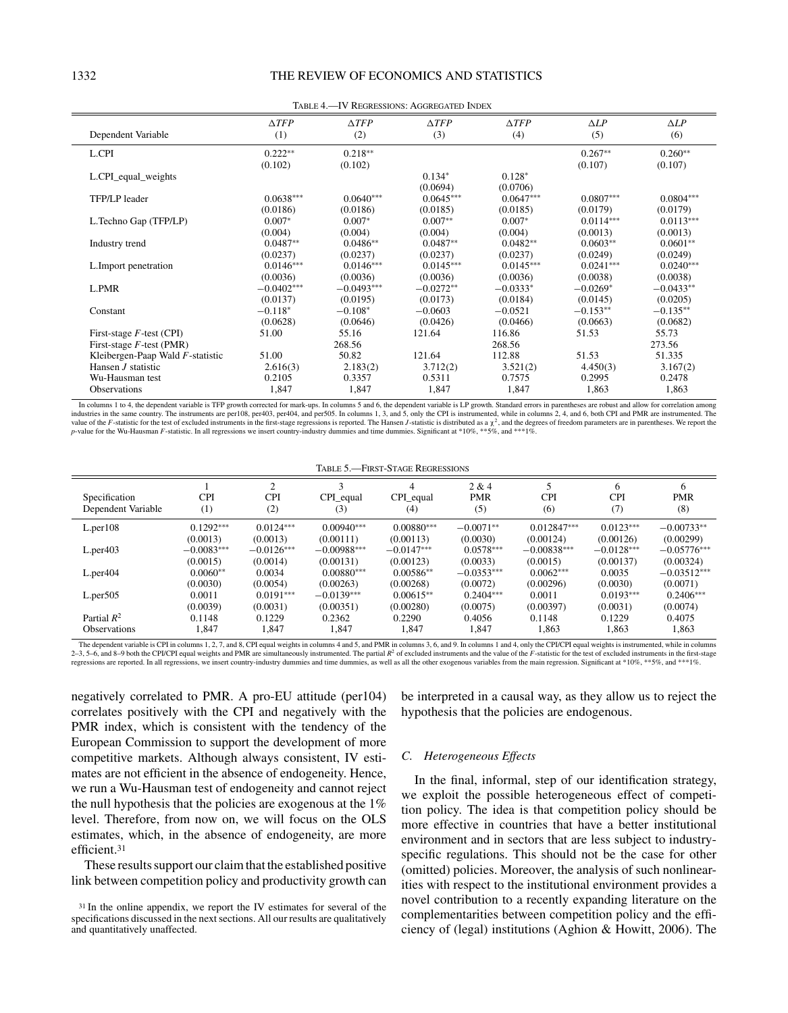| $\triangle TFP$ | $\triangle TFP$                                                                                                                                                                                                  | $\triangle TFP$                                                                                                                                                                                                            | $\triangle TFP$                                                                                                                                                                                                                | $\Delta LP$                                                                                                                                                                                                                            | $\Delta LP$<br>(6)                                                                                                                                                                                   |
|-----------------|------------------------------------------------------------------------------------------------------------------------------------------------------------------------------------------------------------------|----------------------------------------------------------------------------------------------------------------------------------------------------------------------------------------------------------------------------|--------------------------------------------------------------------------------------------------------------------------------------------------------------------------------------------------------------------------------|----------------------------------------------------------------------------------------------------------------------------------------------------------------------------------------------------------------------------------------|------------------------------------------------------------------------------------------------------------------------------------------------------------------------------------------------------|
|                 |                                                                                                                                                                                                                  |                                                                                                                                                                                                                            |                                                                                                                                                                                                                                |                                                                                                                                                                                                                                        |                                                                                                                                                                                                      |
| $0.222**$       | $0.218**$                                                                                                                                                                                                        |                                                                                                                                                                                                                            |                                                                                                                                                                                                                                | $0.267**$                                                                                                                                                                                                                              | $0.260**$                                                                                                                                                                                            |
| (0.102)         | (0.102)                                                                                                                                                                                                          |                                                                                                                                                                                                                            |                                                                                                                                                                                                                                | (0.107)                                                                                                                                                                                                                                | (0.107)                                                                                                                                                                                              |
|                 |                                                                                                                                                                                                                  | $0.134*$                                                                                                                                                                                                                   | $0.128*$                                                                                                                                                                                                                       |                                                                                                                                                                                                                                        |                                                                                                                                                                                                      |
|                 |                                                                                                                                                                                                                  |                                                                                                                                                                                                                            |                                                                                                                                                                                                                                |                                                                                                                                                                                                                                        |                                                                                                                                                                                                      |
|                 |                                                                                                                                                                                                                  |                                                                                                                                                                                                                            |                                                                                                                                                                                                                                | $0.0807***$                                                                                                                                                                                                                            | $0.0804***$                                                                                                                                                                                          |
|                 |                                                                                                                                                                                                                  |                                                                                                                                                                                                                            |                                                                                                                                                                                                                                |                                                                                                                                                                                                                                        | (0.0179)                                                                                                                                                                                             |
|                 |                                                                                                                                                                                                                  |                                                                                                                                                                                                                            |                                                                                                                                                                                                                                |                                                                                                                                                                                                                                        | $0.0113***$                                                                                                                                                                                          |
|                 |                                                                                                                                                                                                                  |                                                                                                                                                                                                                            |                                                                                                                                                                                                                                |                                                                                                                                                                                                                                        | (0.0013)                                                                                                                                                                                             |
|                 |                                                                                                                                                                                                                  |                                                                                                                                                                                                                            |                                                                                                                                                                                                                                |                                                                                                                                                                                                                                        | $0.0601**$                                                                                                                                                                                           |
|                 |                                                                                                                                                                                                                  |                                                                                                                                                                                                                            |                                                                                                                                                                                                                                |                                                                                                                                                                                                                                        | (0.0249)                                                                                                                                                                                             |
|                 |                                                                                                                                                                                                                  |                                                                                                                                                                                                                            |                                                                                                                                                                                                                                |                                                                                                                                                                                                                                        | $0.0240***$                                                                                                                                                                                          |
|                 |                                                                                                                                                                                                                  |                                                                                                                                                                                                                            |                                                                                                                                                                                                                                |                                                                                                                                                                                                                                        | (0.0038)                                                                                                                                                                                             |
|                 |                                                                                                                                                                                                                  |                                                                                                                                                                                                                            |                                                                                                                                                                                                                                |                                                                                                                                                                                                                                        | $-0.0433**$                                                                                                                                                                                          |
|                 |                                                                                                                                                                                                                  |                                                                                                                                                                                                                            |                                                                                                                                                                                                                                |                                                                                                                                                                                                                                        | (0.0205)                                                                                                                                                                                             |
|                 |                                                                                                                                                                                                                  |                                                                                                                                                                                                                            |                                                                                                                                                                                                                                |                                                                                                                                                                                                                                        | $-0.135**$                                                                                                                                                                                           |
|                 |                                                                                                                                                                                                                  |                                                                                                                                                                                                                            |                                                                                                                                                                                                                                |                                                                                                                                                                                                                                        | (0.0682)                                                                                                                                                                                             |
|                 |                                                                                                                                                                                                                  |                                                                                                                                                                                                                            |                                                                                                                                                                                                                                |                                                                                                                                                                                                                                        | 55.73                                                                                                                                                                                                |
|                 |                                                                                                                                                                                                                  |                                                                                                                                                                                                                            |                                                                                                                                                                                                                                |                                                                                                                                                                                                                                        | 273.56                                                                                                                                                                                               |
|                 |                                                                                                                                                                                                                  |                                                                                                                                                                                                                            |                                                                                                                                                                                                                                |                                                                                                                                                                                                                                        | 51.335                                                                                                                                                                                               |
|                 |                                                                                                                                                                                                                  |                                                                                                                                                                                                                            |                                                                                                                                                                                                                                |                                                                                                                                                                                                                                        |                                                                                                                                                                                                      |
|                 |                                                                                                                                                                                                                  |                                                                                                                                                                                                                            |                                                                                                                                                                                                                                |                                                                                                                                                                                                                                        | 3.167(2)                                                                                                                                                                                             |
|                 |                                                                                                                                                                                                                  |                                                                                                                                                                                                                            |                                                                                                                                                                                                                                |                                                                                                                                                                                                                                        | 0.2478                                                                                                                                                                                               |
|                 |                                                                                                                                                                                                                  |                                                                                                                                                                                                                            |                                                                                                                                                                                                                                |                                                                                                                                                                                                                                        | 1,863                                                                                                                                                                                                |
|                 | (1)<br>$0.0638***$<br>(0.0186)<br>$0.007*$<br>(0.004)<br>$0.0487**$<br>(0.0237)<br>$0.0146***$<br>(0.0036)<br>$-0.0402***$<br>(0.0137)<br>$-0.118*$<br>(0.0628)<br>51.00<br>51.00<br>2.616(3)<br>0.2105<br>1,847 | (2)<br>$0.0640***$<br>(0.0186)<br>$0.007*$<br>(0.004)<br>$0.0486**$<br>(0.0237)<br>$0.0146***$<br>(0.0036)<br>$-0.0493***$<br>(0.0195)<br>$-0.108*$<br>(0.0646)<br>55.16<br>268.56<br>50.82<br>2.183(2)<br>0.3357<br>1,847 | (3)<br>(0.0694)<br>$0.0645***$<br>(0.0185)<br>$0.007**$<br>(0.004)<br>$0.0487**$<br>(0.0237)<br>$0.0145***$<br>(0.0036)<br>$-0.0272**$<br>(0.0173)<br>$-0.0603$<br>(0.0426)<br>121.64<br>121.64<br>3.712(2)<br>0.5311<br>1,847 | (4)<br>(0.0706)<br>$0.0647***$<br>(0.0185)<br>$0.007*$<br>(0.004)<br>$0.0482**$<br>(0.0237)<br>$0.0145***$<br>(0.0036)<br>$-0.0333*$<br>(0.0184)<br>$-0.0521$<br>(0.0466)<br>116.86<br>268.56<br>112.88<br>3.521(2)<br>0.7575<br>1,847 | (5)<br>(0.0179)<br>$0.0114***$<br>(0.0013)<br>$0.0603**$<br>(0.0249)<br>$0.0241***$<br>(0.0038)<br>$-0.0269*$<br>(0.0145)<br>$-0.153**$<br>(0.0663)<br>51.53<br>51.53<br>4.450(3)<br>0.2995<br>1,863 |

Table 4.—IV Regressions: Aggregated Index

In columns 1 to 4, the dependent variable is TFP growth corrected for mark-ups. In columns 5 and 6, the dependent variable is LP growth. Standard errors in parentheses are robust and allow for correlation among industries in the same country. The instruments are per108, per403, per404, and per505. In columms 1, 3, and 5, only the CPI is instrumented, while in columns 2, 4, and 6, both CPI and PMR are instrumented. The value of th *p*-value for the Wu-Hausman *F*-statistic. In all regressions we insert country-industry dummies and time dummies. Significant at \*10%, \*\*5%, and \*\*\*1%.

#### Table 5.—First-Stage Regressions

| Specification<br>Dependent Variable | <b>CPI</b><br>(1) | <b>CPI</b><br>(2) | CPI_equal<br>(3) | 4<br>CPI_equal<br>(4) | 2 & 4<br><b>PMR</b><br>(5) | <b>CPI</b><br>(6) | 6<br><b>CPI</b><br>(7) | 6<br><b>PMR</b><br>(8) |
|-------------------------------------|-------------------|-------------------|------------------|-----------------------|----------------------------|-------------------|------------------------|------------------------|
| $L.$ per $108$                      | $0.1292***$       | $0.0124***$       | $0.00940***$     | $0.00880***$          | $-0.0071**$                | $0.012847***$     | $0.0123***$            | $-0.00733**$           |
|                                     | (0.0013)          | (0.0013)          | (0.00111)        | (0.00113)             | (0.0030)                   | (0.00124)         | (0.00126)              | (0.00299)              |
| $L.$ per $403$                      | $-0.0083***$      | $-0.0126***$      | $-0.00988***$    | $-0.0147***$          | $0.0578***$                | $-0.00838***$     | $-0.0128***$           | $-0.05776***$          |
|                                     | (0.0015)          | (0.0014)          | (0.00131)        | (0.00123)             | (0.0033)                   | (0.0015)          | (0.00137)              | (0.00324)              |
| $L.$ per $404$                      | $0.0060**$        | 0.0034            | $0.00880***$     | $0.00586**$           | $-0.0353***$               | $0.0062***$       | 0.0035                 | $-0.03512***$          |
|                                     | (0.0030)          | (0.0054)          | (0.00263)        | (0.00268)             | (0.0072)                   | (0.00296)         | (0.0030)               | (0.0071)               |
| L.per <sub>505</sub>                | 0.0011            | $0.0191***$       | $-0.0139***$     | $0.00615**$           | $0.2404***$                | 0.0011            | $0.0193***$            | $0.2406***$            |
|                                     | (0.0039)          | (0.0031)          | (0.00351)        | (0.00280)             | (0.0075)                   | (0.00397)         | (0.0031)               | (0.0074)               |
| Partial $R^2$                       | 0.1148            | 0.1229            | 0.2362           | 0.2290                | 0.4056                     | 0.1148            | 0.1229                 | 0.4075                 |
| <b>Observations</b>                 | 1.847             | 1,847             | 1.847            | 1.847                 | 1,847                      | 1,863             | 1,863                  | 1,863                  |

The dependent variable is CPI in columns 1, 2, 7, and 8, CPI equal weights in columns 4 and 5, and 95, and 9. In columns 2 and 4, only the CPI/CPI equal weights is instrumented, while in columns 2-3, 5-6, and 8-9 both the CPI/CPI equal weights and PMR are simultaneously instrumented. The partial R<sup>2</sup> of excluded instruments and the value of the F-statistic for the test of excluded instruments in the first-stage regressions are reported. In all regressions, we insert country-industry dummies and time dummies, as well as all the other exogenous variables from the main regression. Significant at \*10%, \*\*5%, and \*\*\*1%.

negatively correlated to PMR. A pro-EU attitude (per104) correlates positively with the CPI and negatively with the PMR index, which is consistent with the tendency of the European Commission to support the development of more competitive markets. Although always consistent, IV estimates are not efficient in the absence of endogeneity. Hence, we run a Wu-Hausman test of endogeneity and cannot reject the null hypothesis that the policies are exogenous at the 1% level. Therefore, from now on, we will focus on the OLS estimates, which, in the absence of endogeneity, are more efficient.31

These results support our claim that the established positive link between competition policy and productivity growth can

be interpreted in a causal way, as they allow us to reject the hypothesis that the policies are endogenous.

#### *C. Heterogeneous Effects*

In the final, informal, step of our identification strategy, we exploit the possible heterogeneous effect of competition policy. The idea is that competition policy should be more effective in countries that have a better institutional environment and in sectors that are less subject to industryspecific regulations. This should not be the case for other (omitted) policies. Moreover, the analysis of such nonlinearities with respect to the institutional environment provides a novel contribution to a recently expanding literature on the complementarities between competition policy and the efficiency of (legal) institutions (Aghion & Howitt, 2006). The

<sup>31</sup> In the online appendix, we report the IV estimates for several of the specifications discussed in the next sections. All our results are qualitatively and quantitatively unaffected.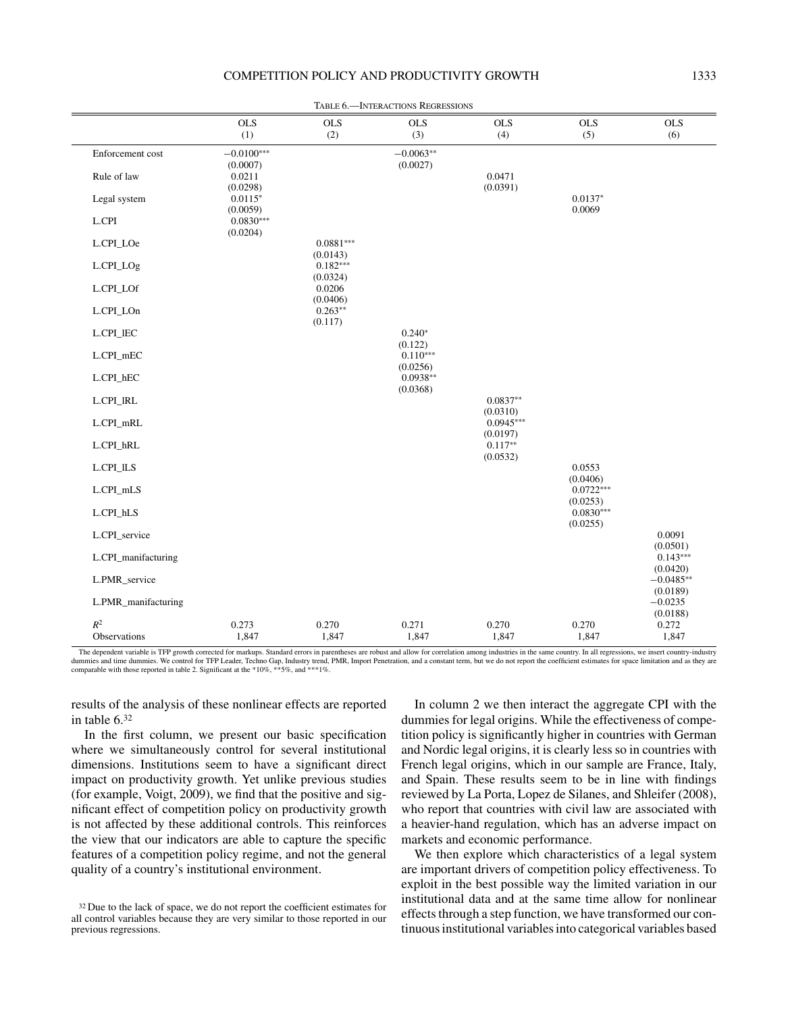# COMPETITION POLICY AND PRODUCTIVITY GROWTH 1333

|                                |                                     |                         | TABLE 6.- INTERACTIONS REGRESSIONS |                         |                         |                         |
|--------------------------------|-------------------------------------|-------------------------|------------------------------------|-------------------------|-------------------------|-------------------------|
|                                | <b>OLS</b><br>(1)                   | $_{\rm OLS}$<br>(2)     | <b>OLS</b><br>(3)                  | <b>OLS</b><br>(4)       | <b>OLS</b><br>(5)       | <b>OLS</b><br>(6)       |
| Enforcement cost               | $-0.0100***$<br>(0.0007)            |                         | $-0.0063**$<br>(0.0027)            |                         |                         |                         |
| Rule of law<br>Legal system    | 0.0211<br>(0.0298)<br>$0.0115*$     |                         |                                    | 0.0471<br>(0.0391)      | $0.0137*$               |                         |
| L.CPI                          | (0.0059)<br>$0.0830***$<br>(0.0204) |                         |                                    |                         | 0.0069                  |                         |
| L.CPI_LOe                      |                                     | $0.0881***$<br>(0.0143) |                                    |                         |                         |                         |
| L.CPI_LOg                      |                                     | $0.182***$<br>(0.0324)  |                                    |                         |                         |                         |
| $L.CPI\_LOf$                   |                                     | 0.0206<br>(0.0406)      |                                    |                         |                         |                         |
| L.CPI_LOn                      |                                     | $0.263**$<br>(0.117)    |                                    |                         |                         |                         |
| $L.CPI\_IEC$                   |                                     |                         | $0.240*$<br>(0.122)                |                         |                         |                         |
| L.CPI_mEC                      |                                     |                         | $0.110***$                         |                         |                         |                         |
| L.CPI_hEC                      |                                     |                         | (0.0256)<br>$0.0938**$<br>(0.0368) |                         |                         |                         |
| L.CPI_IRL                      |                                     |                         |                                    | $0.0837**$<br>(0.0310)  |                         |                         |
| L.CPI_mRL                      |                                     |                         |                                    | $0.0945***$<br>(0.0197) |                         |                         |
| L.CPI_hRL                      |                                     |                         |                                    | $0.117**$<br>(0.0532)   |                         |                         |
| L.CPI_ILS                      |                                     |                         |                                    |                         | 0.0553<br>(0.0406)      |                         |
| L.CPI_mLS                      |                                     |                         |                                    |                         | $0.0722***$<br>(0.0253) |                         |
| L.CPI_hLS                      |                                     |                         |                                    |                         | $0.0830***$<br>(0.0255) |                         |
| L.CPI_service                  |                                     |                         |                                    |                         |                         | 0.0091<br>(0.0501)      |
| L.CPI_manifacturing            |                                     |                         |                                    |                         |                         | $0.143***$<br>(0.0420)  |
| L.PMR_service                  |                                     |                         |                                    |                         |                         | $-0.0485**$<br>(0.0189) |
| L.PMR_manifacturing            |                                     |                         |                                    |                         |                         | $-0.0235$<br>(0.0188)   |
| $\mathbb{R}^2$<br>Observations | 0.273<br>1,847                      | 0.270<br>1,847          | 0.271<br>1,847                     | 0.270<br>1,847          | 0.270<br>1,847          | 0.272<br>1,847          |

The dependent variable is TFP growth corrected for markups. Standard errors in parentheses are robust and allow for correlation among industries in the same country. In all regressions, we insert country-industry dummies and time dummies. We control for TFP Leader, Techno Gap, Industry trend, PMR, Import Penetration, and a constant term, but we do not report the coefficient estimates for space limitation and as they are comparable with those reported in table 2. Significant at the \*10%, \*\*5%, and \*\*\*1%.

results of the analysis of these nonlinear effects are reported in table 6.32

In the first column, we present our basic specification where we simultaneously control for several institutional dimensions. Institutions seem to have a significant direct impact on productivity growth. Yet unlike previous studies (for example, Voigt, 2009), we find that the positive and significant effect of competition policy on productivity growth is not affected by these additional controls. This reinforces the view that our indicators are able to capture the specific features of a competition policy regime, and not the general quality of a country's institutional environment.

In column 2 we then interact the aggregate CPI with the dummies for legal origins. While the effectiveness of competition policy is significantly higher in countries with German and Nordic legal origins, it is clearly less so in countries with French legal origins, which in our sample are France, Italy, and Spain. These results seem to be in line with findings reviewed by La Porta, Lopez de Silanes, and Shleifer (2008), who report that countries with civil law are associated with a heavier-hand regulation, which has an adverse impact on markets and economic performance.

We then explore which characteristics of a legal system are important drivers of competition policy effectiveness. To exploit in the best possible way the limited variation in our institutional data and at the same time allow for nonlinear effects through a step function, we have transformed our continuous institutional variables into categorical variables based

<sup>32</sup> Due to the lack of space, we do not report the coefficient estimates for all control variables because they are very similar to those reported in our previous regressions.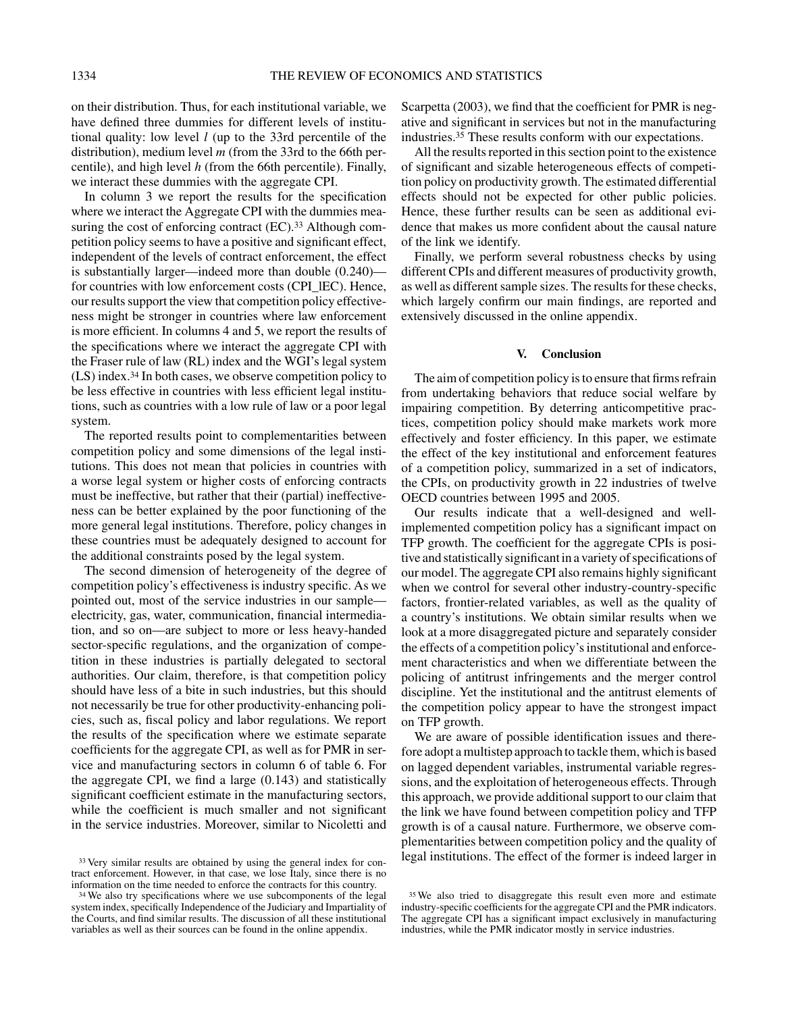on their distribution. Thus, for each institutional variable, we have defined three dummies for different levels of institutional quality: low level *l* (up to the 33rd percentile of the distribution), medium level *m* (from the 33rd to the 66th percentile), and high level *h* (from the 66th percentile). Finally, we interact these dummies with the aggregate CPI.

In column 3 we report the results for the specification where we interact the Aggregate CPI with the dummies measuring the cost of enforcing contract (EC).<sup>33</sup> Although competition policy seems to have a positive and significant effect, independent of the levels of contract enforcement, the effect is substantially larger—indeed more than double (0.240) for countries with low enforcement costs (CPI\_lEC). Hence, our results support the view that competition policy effectiveness might be stronger in countries where law enforcement is more efficient. In columns 4 and 5, we report the results of the specifications where we interact the aggregate CPI with the Fraser rule of law (RL) index and the WGI's legal system (LS) index.34 In both cases, we observe competition policy to be less effective in countries with less efficient legal institutions, such as countries with a low rule of law or a poor legal system.

The reported results point to complementarities between competition policy and some dimensions of the legal institutions. This does not mean that policies in countries with a worse legal system or higher costs of enforcing contracts must be ineffective, but rather that their (partial) ineffectiveness can be better explained by the poor functioning of the more general legal institutions. Therefore, policy changes in these countries must be adequately designed to account for the additional constraints posed by the legal system.

The second dimension of heterogeneity of the degree of competition policy's effectiveness is industry specific. As we pointed out, most of the service industries in our sample electricity, gas, water, communication, financial intermediation, and so on—are subject to more or less heavy-handed sector-specific regulations, and the organization of competition in these industries is partially delegated to sectoral authorities. Our claim, therefore, is that competition policy should have less of a bite in such industries, but this should not necessarily be true for other productivity-enhancing policies, such as, fiscal policy and labor regulations. We report the results of the specification where we estimate separate coefficients for the aggregate CPI, as well as for PMR in service and manufacturing sectors in column 6 of table 6. For the aggregate CPI, we find a large (0.143) and statistically significant coefficient estimate in the manufacturing sectors, while the coefficient is much smaller and not significant in the service industries. Moreover, similar to Nicoletti and

Scarpetta (2003), we find that the coefficient for PMR is negative and significant in services but not in the manufacturing industries.35 These results conform with our expectations.

All the results reported in this section point to the existence of significant and sizable heterogeneous effects of competition policy on productivity growth. The estimated differential effects should not be expected for other public policies. Hence, these further results can be seen as additional evidence that makes us more confident about the causal nature of the link we identify.

Finally, we perform several robustness checks by using different CPIs and different measures of productivity growth, as well as different sample sizes. The results for these checks, which largely confirm our main findings, are reported and extensively discussed in the online appendix.

#### **V. Conclusion**

The aim of competition policy is to ensure that firms refrain from undertaking behaviors that reduce social welfare by impairing competition. By deterring anticompetitive practices, competition policy should make markets work more effectively and foster efficiency. In this paper, we estimate the effect of the key institutional and enforcement features of a competition policy, summarized in a set of indicators, the CPIs, on productivity growth in 22 industries of twelve OECD countries between 1995 and 2005.

Our results indicate that a well-designed and wellimplemented competition policy has a significant impact on TFP growth. The coefficient for the aggregate CPIs is positive and statistically significant in a variety of specifications of our model. The aggregate CPI also remains highly significant when we control for several other industry-country-specific factors, frontier-related variables, as well as the quality of a country's institutions. We obtain similar results when we look at a more disaggregated picture and separately consider the effects of a competition policy's institutional and enforcement characteristics and when we differentiate between the policing of antitrust infringements and the merger control discipline. Yet the institutional and the antitrust elements of the competition policy appear to have the strongest impact on TFP growth.

We are aware of possible identification issues and therefore adopt a multistep approach to tackle them, which is based on lagged dependent variables, instrumental variable regressions, and the exploitation of heterogeneous effects. Through this approach, we provide additional support to our claim that the link we have found between competition policy and TFP growth is of a causal nature. Furthermore, we observe complementarities between competition policy and the quality of legal institutions. The effect of the former is indeed larger in

<sup>&</sup>lt;sup>33</sup> Very similar results are obtained by using the general index for contract enforcement. However, in that case, we lose Italy, since there is no information on the time needed to enforce the contracts for this country.

<sup>34</sup> We also try specifications where we use subcomponents of the legal system index, specifically Independence of the Judiciary and Impartiality of the Courts, and find similar results. The discussion of all these institutional variables as well as their sources can be found in the online appendix.

<sup>35</sup> We also tried to disaggregate this result even more and estimate industry-specific coefficients for the aggregate CPI and the PMR indicators. The aggregate CPI has a significant impact exclusively in manufacturing industries, while the PMR indicator mostly in service industries.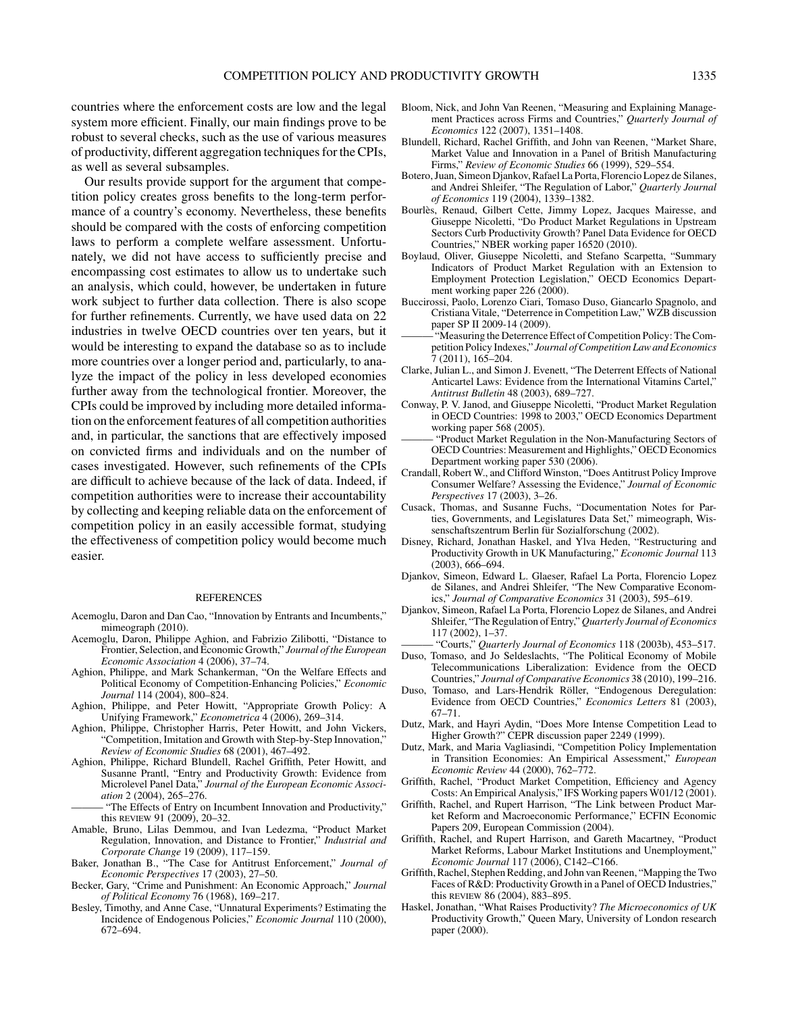countries where the enforcement costs are low and the legal system more efficient. Finally, our main findings prove to be robust to several checks, such as the use of various measures of productivity, different aggregation techniques for the CPIs, as well as several subsamples.

Our results provide support for the argument that competition policy creates gross benefits to the long-term performance of a country's economy. Nevertheless, these benefits should be compared with the costs of enforcing competition laws to perform a complete welfare assessment. Unfortunately, we did not have access to sufficiently precise and encompassing cost estimates to allow us to undertake such an analysis, which could, however, be undertaken in future work subject to further data collection. There is also scope for further refinements. Currently, we have used data on 22 industries in twelve OECD countries over ten years, but it would be interesting to expand the database so as to include more countries over a longer period and, particularly, to analyze the impact of the policy in less developed economies further away from the technological frontier. Moreover, the CPIs could be improved by including more detailed information on the enforcement features of all competition authorities and, in particular, the sanctions that are effectively imposed on convicted firms and individuals and on the number of cases investigated. However, such refinements of the CPIs are difficult to achieve because of the lack of data. Indeed, if competition authorities were to increase their accountability by collecting and keeping reliable data on the enforcement of competition policy in an easily accessible format, studying the effectiveness of competition policy would become much easier.

#### **REFERENCES**

- Acemoglu, Daron and Dan Cao, "Innovation by Entrants and Incumbents," mimeograph (2010).
- Acemoglu, Daron, Philippe Aghion, and Fabrizio Zilibotti, "Distance to Frontier, Selection, and Economic Growth," *Journal of the European Economic Association* 4 (2006), 37–74.
- Aghion, Philippe, and Mark Schankerman, "On the Welfare Effects and Political Economy of Competition-Enhancing Policies," *Economic Journal* 114 (2004), 800–824.
- Aghion, Philippe, and Peter Howitt, "Appropriate Growth Policy: A Unifying Framework," *Econometrica* 4 (2006), 269–314.
- Aghion, Philippe, Christopher Harris, Peter Howitt, and John Vickers, "Competition, Imitation and Growth with Step-by-Step Innovation," *Review of Economic Studies* 68 (2001), 467–492.
- Aghion, Philippe, Richard Blundell, Rachel Griffith, Peter Howitt, and Susanne Prantl, "Entry and Productivity Growth: Evidence from Microlevel Panel Data," *Journal of the European Economic Association* 2 (2004), 265–276.
	- "The Effects of Entry on Incumbent Innovation and Productivity," this review 91 (2009), 20–32.
- Amable, Bruno, Lilas Demmou, and Ivan Ledezma, "Product Market Regulation, Innovation, and Distance to Frontier," *Industrial and Corporate Change* 19 (2009), 117–159.
- Baker, Jonathan B., "The Case for Antitrust Enforcement," *Journal of Economic Perspectives* 17 (2003), 27–50.
- Becker, Gary, "Crime and Punishment: An Economic Approach," *Journal of Political Economy* 76 (1968), 169–217.
- Besley, Timothy, and Anne Case, "Unnatural Experiments? Estimating the Incidence of Endogenous Policies," *Economic Journal* 110 (2000), 672–694.
- Bloom, Nick, and John Van Reenen, "Measuring and Explaining Management Practices across Firms and Countries," *Quarterly Journal of Economics* 122 (2007), 1351–1408.
- Blundell, Richard, Rachel Griffith, and John van Reenen, "Market Share, Market Value and Innovation in a Panel of British Manufacturing Firms," *Review of Economic Studies* 66 (1999), 529–554.
- Botero, Juan, Simeon Djankov, Rafael La Porta, Florencio Lopez de Silanes, and Andrei Shleifer, "The Regulation of Labor," *Quarterly Journal of Economics* 119 (2004), 1339–1382.
- Bourlès, Renaud, Gilbert Cette, Jimmy Lopez, Jacques Mairesse, and Giuseppe Nicoletti, "Do Product Market Regulations in Upstream Sectors Curb Productivity Growth? Panel Data Evidence for OECD Countries," NBER working paper 16520 (2010).
- Boylaud, Oliver, Giuseppe Nicoletti, and Stefano Scarpetta, "Summary Indicators of Product Market Regulation with an Extension to Employment Protection Legislation," OECD Economics Department working paper 226 (2000).
- Buccirossi, Paolo, Lorenzo Ciari, Tomaso Duso, Giancarlo Spagnolo, and Cristiana Vitale, "Deterrence in Competition Law," WZB discussion paper SP II 2009-14 (2009).
- "Measuring the Deterrence Effect of Competition Policy: The Competition Policy Indexes," *Journal of Competition Law and Economics* 7 (2011), 165–204.
- Clarke, Julian L., and Simon J. Evenett, "The Deterrent Effects of National Anticartel Laws: Evidence from the International Vitamins Cartel," *Antitrust Bulletin* 48 (2003), 689–727.
- Conway, P. V. Janod, and Giuseppe Nicoletti, "Product Market Regulation in OECD Countries: 1998 to 2003," OECD Economics Department working paper 568 (2005).
- "Product Market Regulation in the Non-Manufacturing Sectors of OECD Countries: Measurement and Highlights," OECD Economics Department working paper 530 (2006).
- Crandall, Robert W., and Clifford Winston, "Does Antitrust Policy Improve Consumer Welfare? Assessing the Evidence," *Journal of Economic Perspectives* 17 (2003), 3–26.
- Cusack, Thomas, and Susanne Fuchs, "Documentation Notes for Parties, Governments, and Legislatures Data Set," mimeograph, Wissenschaftszentrum Berlin für Sozialforschung (2002).
- Disney, Richard, Jonathan Haskel, and Ylva Heden, "Restructuring and Productivity Growth in UK Manufacturing," *Economic Journal* 113 (2003), 666–694.
- Djankov, Simeon, Edward L. Glaeser, Rafael La Porta, Florencio Lopez de Silanes, and Andrei Shleifer, "The New Comparative Economics," *Journal of Comparative Economics* 31 (2003), 595–619.
- Djankov, Simeon, Rafael La Porta, Florencio Lopez de Silanes, and Andrei Shleifer, "The Regulation of Entry," *Quarterly Journal of Economics* 117 (2002), 1–37.
	- ——— "Courts," *Quarterly Journal of Economics* 118 (2003b), 453–517.
- Duso, Tomaso, and Jo Seldeslachts, "The Political Economy of Mobile Telecommunications Liberalization: Evidence from the OECD Countries," *Journal of Comparative Economics* 38 (2010), 199–216.
- Duso, Tomaso, and Lars-Hendrik Röller, "Endogenous Deregulation: Evidence from OECD Countries," *Economics Letters* 81 (2003), 67–71.
- Dutz, Mark, and Hayri Aydin, "Does More Intense Competition Lead to Higher Growth?" CEPR discussion paper 2249 (1999).
- Dutz, Mark, and Maria Vagliasindi, "Competition Policy Implementation in Transition Economies: An Empirical Assessment," *European Economic Review* 44 (2000), 762–772.
- Griffith, Rachel, "Product Market Competition, Efficiency and Agency Costs: An Empirical Analysis," IFS Working papers W01/12 (2001).
- Griffith, Rachel, and Rupert Harrison, "The Link between Product Market Reform and Macroeconomic Performance," ECFIN Economic Papers 209, European Commission (2004).
- Griffith, Rachel, and Rupert Harrison, and Gareth Macartney, "Product Market Reforms, Labour Market Institutions and Unemployment," *Economic Journal* 117 (2006), C142–C166.
- Griffith, Rachel, Stephen Redding, and John van Reenen, "Mapping the Two Faces of R&D: Productivity Growth in a Panel of OECD Industries," this review 86 (2004), 883–895.
- Haskel, Jonathan, "What Raises Productivity? *The Microeconomics of UK* Productivity Growth," Queen Mary, University of London research paper (2000).